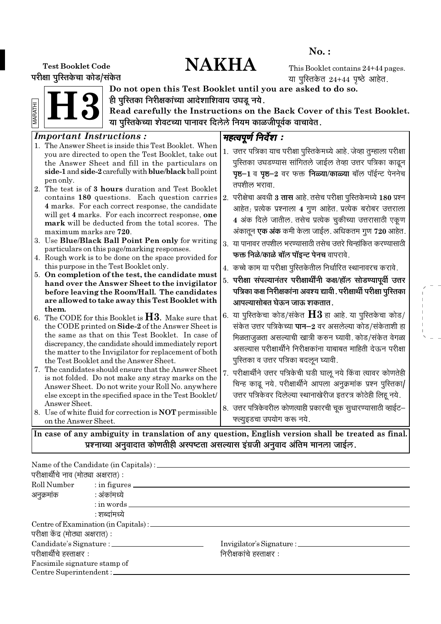### No. :

# Test Booklet Code  $\mathbf{NAKHA}$

परीक्षा पुरितकेचा कोड/संकेत

This Booklet contains 24+44 pages. या पुस्तिकेत  $24+44$  पृष्ठे आहेत.

**H3** MARATHI



Do not open this Test Booklet until you are asked to do so. ही पुरितका निरीक्षकांच्या आदेशाशिवाय उघडू नये.

Read carefully the Instructions on the Back Cover of this Test Booklet. या पुरितकेच्या शेवटच्या पानावर दिलेले नियम काळजीपूर्वक वाचावेत.

#### Important Instructions : 1. The Answer Sheet is inside this Test Booklet. When you are directed to open the Test Booklet, take out the Answer Sheet and fill in the particulars on side-1 and side-2 carefully with blue/black ball point pen only. 2. The test is of 3 hours duration and Test Booklet contains 180 questions. Each question carries 4 marks. For each correct response, the candidate will get 4 marks. For each incorrect response, one mark will be deducted from the total scores. The maximum marks are 720. 3. Use Blue/Black Ball Point Pen only for writing particulars on this page/marking responses. 4. Rough work is to be done on the space provided for this purpose in the Test Booklet only. 5. On completion of the test, the candidate must hand over the Answer Sheet to the invigilator before leaving the Room/Hall. The candidates are allowed to take away this Test Booklet with them. 6. The CODE for this Booklet is  $H3$ . Make sure that the CODE printed on Side-2 of the Answer Sheet is the same as that on this Test Booklet. In case of discrepancy, the candidate should immediately report the matter to the Invigilator for replacement of both the Test Booklet and the Answer Sheet. 7. The candidates should ensure that the Answer Sheet is not folded. Do not make any stray marks on the Answer Sheet. Do not write your Roll No. anywhere else except in the specified space in the Test Booklet/ Answer Sheet. 8. Use of white fluid for correction is NOT permissible on the Answer Sheet. महत्वपूर्ण निर्देश : 1. उत्तर पत्रिका याच परीक्षा पस्तिकेमध्ये आहे. जेव्हा तम्हाला परीक्षा पुस्तिका उघडण्यास सांगितले जाईल तेव्हा उत्तर पत्रिका काढून **पृष्ठ−1** व पृष्ठ−2 वर फक्त निळ्या/काळ्या बॉल पॉईन्ट पेननेच तपशील भरावा.  $\vert$ 2. परीक्षेचा अवधी **3 तास** आहे. तसेच परीक्षा पुस्तिकेमध्ये 180 प्रश्न आहेत; प्रत्येक प्रश्नाला 4 गुण आहेत. प्रत्येक बरोबर उत्तराला 4 अंक दिले जातील. तसेच प्रत्येक चूकीच्या उत्तरासाठी एकूण अंकातून **एक अंक** कमी केला जाईल. अधिकतम गुण 720 आहेत.  $3.$  या पानावर तपशील भरण्यासाठी तसेच उत्तरे चिन्हांकित करण्यासाठी **फक्त निळे/काळे बॉल पॉइन्ट पेनच** वापरावे. 4. कच्चे काम या परीक्षा पुस्तिकेतील निर्धारित स्थानावरच करावे. 5. परीक्षा संपल्यानंतर परीक्षार्थींनी कक्ष⁄हॉल सोडण्यापूर्वी उत्तर पत्रिका कक्ष निरीक्षकांना अवश्य द्यावी . परीक्षार्थी परीक्षा पु**रित**का आपल्यासोबत घेऊन जाऊ शकतात . 6. या पुस्तिकेचा कोड/संकेत  $\bf H3$  हा आहे. या पुस्तिकेचा कोड/ संकेत उत्तर पत्रिकेच्या **पान−2** वर असलेल्या कोड/संकेताशी हा भिळताजळता असल्याची खात्री करुन घ्यावी. कोड/संकेत वेगळा असल्यास परीक्षार्थीने निरीक्षकांना याबाबत माहिती देऊन परीक्षा पुस्तिका व उत्तर पत्रिका बदऌन घ्यावी. 7. परीक्षार्थीने उत्तर पत्रिकेची घडी घाऌ नये किंवा त्यावर कोणतेही चिन्ह काढ् नये. परीक्षार्थीने आपला अनुक्रमांक प्रश्न पुस्तिका/ उत्तर पत्रिकेवर दिलेल्या स्थानाखेरीज इतरत्र कोठेही लिहू नये. 8. उत्तर पत्रिकेवरील कोणत्याही प्रकारची चूक सुधारण्यासाठी व्हाईट– फ्ल्यूइडचा उपयोग करू नये. In case of any ambiguity in translation of any question, English version shall be treated as final.

प्रश्नाच्या अनुवादात कोणतीही अस्पष्टता असल्यास इंग्रजी अनुवाद अंतिम मानला जाईल.

| परीक्षार्थीचे नाव (मोठ्या अक्षरात) : | Name of the Candidate (in Capitals) : ________    |                          |
|--------------------------------------|---------------------------------------------------|--------------------------|
|                                      |                                                   |                          |
|                                      | Roll Number : in figures                          |                          |
| अनुक्रमांक : अंकांमध्ये              |                                                   |                          |
|                                      | $:$ in words $\_\_$                               |                          |
|                                      | : शब्दांमध्ये                                     |                          |
|                                      | Centre of Examination (in Capitals) : ___________ |                          |
| परीक्षा केंद्र (मोठ्या अक्षरात) :    |                                                   |                          |
|                                      |                                                   |                          |
| परीक्षार्थीचे हस्ताक्षर :            |                                                   | निरीक्षकांचे हस्ताक्षर : |
| Facsimile signature stamp of         |                                                   |                          |
| Centre Superintendent:               |                                                   |                          |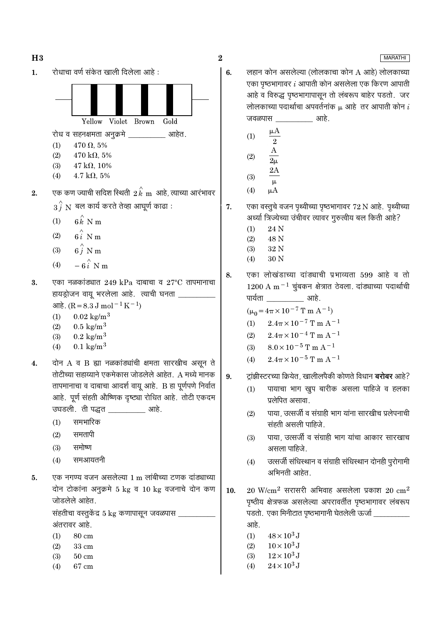

लहान कोन असलेल्या (लोलकाचा कोन A आहे) लोलकाच्या एका पृष्ठभागावर  $i$  आपाती कोन असलेला एक किरण आपाती आहे व विरुद्ध पृष्ठभागापासून तो लंबरूप बाहेर पडतो. जर लोलकाच्या पदार्थाचा अपवर्तनांक  $\mu$  आहे तर आपाती कोन  $i$ जवळपास आहे.  $\mu A$  $(1)$  $\overline{2}$ A  $(2)$  $2<sub>\mu</sub>$  $(3)$  $\mu$  $(4)$  $\mu A$ एका वस्तुचे वजन पृथ्वीच्या पृष्ठभागावर 72 N आहे. पृथ्वीच्या अर्ध्या त्रिज्येच्या उंचीवर त्यावर गरुत्वीय बल किती आहे? 24 N  $(1)$  $(2)$ 48 N  $(3)$ 32 N  $(4)$ 30 N एका लोखंडाच्या दांड्याची प्रभाव्यता 599 आहे व तो  $1200$  A m<sup>-1</sup> चुंबकन क्षेत्रात ठेवला. दांड्याच्या पदार्थाची पार्यता आहे.  $(\mu_0 = 4\pi \times 10^{-7} \text{ T m A}^{-1})$  $2.4\pi \times 10^{-7}$  T m A<sup>-1</sup>  $(1)$  $2.4\pi \times 10^{-4}$  T m A<sup>-1</sup>  $(2)$  $8.0 \times 10^{-5}$  T m A<sup>-1</sup>  $(3)$  $2.4\pi \times 10^{-5}$  T m A<sup>-1</sup>  $(4)$ टांझीस्टरच्या क्रियेत. खालीलपैकी कोणते विधान **बरोबर** आहे? पायाचा भाग खूप बारीक असला पाहिजे व हलका  $(1)$ प्रलेपित असावा. पाया. उत्सर्जी व संग्राही भाग यांना सारखीच प्रलेपनाची  $(2)$ संहती असली पाहिजे. पाया. उत्सर्जी व संग्राही भाग यांचा आकार सारखाच  $(3)$ असला पाहिजे.

उत्सर्जी संधिस्थान व संग्राही संधिस्थान दोनही पुरोगामी  $(4)$ अभिनती आहेत

 $20$  W/cm<sup>2</sup> सरासरी अभिवाह असलेला प्रकाश 20 cm<sup>2</sup>  $10.$ पृष्ठीय क्षेत्रफळ असलेल्या अपरावर्तीत पृष्ठभागावर लंबरूप पडतो. एका मिनीटात पृष्ठभागानी घेतलेली ऊर्जा आहे

> $48 \times 10^3$  J  $(1)$

6.

7.

8.

9.

- $(2)$  $10 \times 10^3$  J
- $(3)$  $12 \times 10^3$  J
- $24 \times 10^3$  J  $(4)$

#### **MARATHI**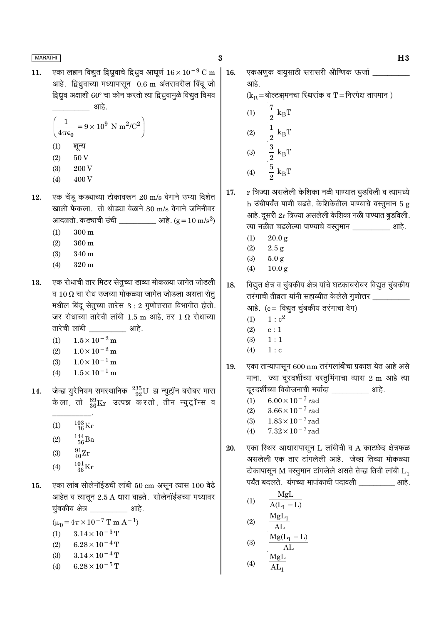एका लहान विद्युत द्विध्रुवाचे द्विध्रुव आघूर्ण  $16 \times 10^{-9}$  C m 11. आहे. द्विध्रुवाच्या मध्यापासून 0.6 m अंतरावरील बिंदू जो द्विध्रुव अक्षाशी 60° चा कोन करतो त्या द्विध्रुवामुळे विद्युत विभव ्याहे.

$$
\left(\frac{1}{4\pi\epsilon_0} = 9 \times 10^9 \text{ N m}^2/\text{C}^2\right)
$$
  
(1)  $\text{q} = 10^9 \text{ N m}^2/\text{C}^2$ 

- $(2)$  $50\,\mathrm{V}$
- $(3)$ 200 V
- 400 V  $(4)$
- एक चेंडू कड्याच्या टोकावरून 20 m/s वेगाने उभ्या दिशेत 12. खाली फेकला. तो थोड्या वेळाने 80 m/s वेगाने जमिनीवर आदळतो. कड्याची उंची आहे.  $(g = 10 \text{ m/s}^2)$ 
	- $300 \text{ m}$  $(1)$
	- $(2)$ 360 m
	- $(3)$ 340 m
	- $(4)$ 320 m
- एक रोधाची तार मिटर सेतूच्या डाव्या मोकळ्या जागेत जोडली 13. व 10 $\Omega$  चा रोध उजव्या मोकळ्या जागेत जोडला असता सेतू मधील बिंदू सेतूच्या तारेस 3: 2 गुणोत्तरात विभागीत होतो. जर रोधाच्या तारेची लांबी 1.5 m आहे, तर 1  $\Omega$  रोधाच्या तारेची लांबी खाड़े.
	- $1.5 \times 10^{-2}$  m  $(1)$
	- $(2)$  $1.0 \times 10^{-2}$  m
	- $1.0 \times 10^{-1}$  m  $(3)$
	- $(4)$  $1.5 \times 10^{-1}$  m
- जेव्हा युरेनियम समस्थानिक  $^{235}_{92}$ U हा न्युट्रॉन बरोबर मारा 14. केला, तो  $^{89}_{36}\rm{Kr}$  उत्पन्न करतो, तीन न्युट्रॉन्स व
	- $^{103}_{36}\mathrm{Kr}$  $(1)$
	- $\frac{144}{56}$ Ba  $(2)$
	-
	- $^{91}_{40}Zr$  $(3)$
	- $^{101}_{36}$ Kr  $(4)$
- एका लांब सोलेनॉईडची लांबी 50 cm असून त्यास 100 वेढे 15. आहेत व त्यातून 2.5 A धारा वाहते. सोलेनॉईडच्या मध्यावर चूंबकीय क्षेत्र \_\_\_\_\_\_\_\_\_\_\_ आहे.

 $(\mu_0 = 4\pi \times 10^{-7}$  T m  $A^{-1}$ )  $(1)$  $3.14\times10^{-5}$  T  $(2)$  $6.28 \times 10^{-4}$  T  $3.14 \times 10^{-4}$  T  $(3)$ 

 $6.28 \times 10^{-5}$  T  $(4)$ 

 $\bf{3}$ 

16.

17.

18.

19.

20.

MgL

 $AL_1$ 

 $(4)$ 

एकअणूक वायुसाठी सरासरी औष्णिक ऊर्जा \_ आहे.  $(k_B = \text{sqrt}$ व्याल्टझमनचा स्थिरांक व T = निरपेक्ष तापमान)  $\frac{7}{2}$  $k_{\rm B}T$  $(1)$  $\frac{1}{2}$  $\frac{3}{2}$  $k_BT$  $(2)$  $(3)$  $k_BT$  $\frac{5}{2}$  k<sub>B</sub>T  $(4)$  $r$  त्रिज्या असलेली केशिका नळी पाण्यात बुडविली व त्यामध्ये h उंचीपर्यंत पाणी चढते. केशिकेतील पाण्याचे वस्तुमान 5 g आहे. दूसरी 2r त्रिज्या असलेली केशिका नळी पाण्यात बुडविली. त्या नळीत चढलेल्या पाण्याचे वस्तुमान \_\_\_\_\_\_\_\_\_\_\_ आहे.  $(1)$  $20.0 g$  $(2)$  $2.5 g$  $(3)$  $5.0g$  $10.0 g$  $(4)$ विद्युत क्षेत्र व चुंबकीय क्षेत्र यांचे घटकाबरोबर विद्युत चुंबकीय तरंगाची तीव्रता यांनी सहाय्यीत केलेले गुणोत्तर \_\_\_\_\_\_ आहे. (c = विद्युत चुंबकीय तरंगाचा वेग)  $1 \cdot c^2$  $(1)$  $(2)$  $c:1$  $(3)$  $1:1$  $(4)$  $1 : c$ एका ताऱ्यापासून 600 nm तरंगलांबीचा प्रकाश येत आहे असे माना. ज्या दूरदर्शीच्या वस्तूभिंगाचा व्यास 2 m आहे त्या दूरदर्शीच्या वियोजनाची मर्यादा \_\_\_\_\_\_\_\_\_\_\_ आहे.  $(1)$  $6.00\times10^{-7}\,\mathrm{rad}$  $3.66 \times 10^{-7}$  rad  $(2)$  $1.83 \times 10^{-7}$  rad  $(3)$  $7.32 \times 10^{-7}$  rad  $(4)$ एका स्थिर आधारापासून L लांबीची व A काटछेद क्षेत्रफळ असलेली एक तार टांगलेली आहे. जेव्हा तिच्या मोकळ्या टोकापासून M वस्तूमान टांगलेले असते तेव्हा तिची लांबी  $L_1$ पर्यंत बदलते. यंगच्या मापांकाची पदावली व्यास्था आहे. MgL  $(1)$  $\overline{A(L_1 - L)}$  $MgL_1$  $(2)$  $AI<sub>1</sub>$  $Mg(L_1 - L)$  $(3)$  $\overline{AL}$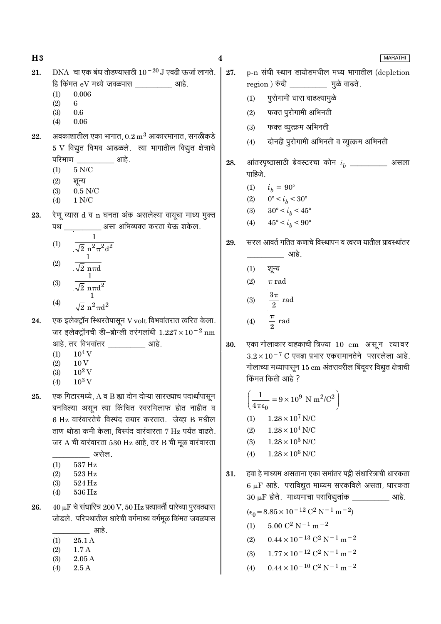$H3$ 

0.006  $(1)$ 

- $(2)$ 6
- $(3)$  $0.6$
- $(4)$ 0.06
- 22. अवकाशातील एका भागात,  $0.2 \text{ m}^3$  आकारमानात, सगळीकडे  $5V$  विद्युत विभव आढळले. त्या भागातील विद्युत क्षेत्राचे परिमाण ः आहे.
	- $(1)$  $5 N/C$
	- $(2)$ शून्य
	- $0.5$  N/C  $(3)$
	- $(4)$  $1 N/C$
- रेणू व्यास d व n घनता अंक असलेल्या वायूचा माध्य मुक्त 23. \_\_\_\_ असा अभिव्यक्त करता येऊ शकेल. पथ
	- $\mathbf{1}$  $(1)$  $\sqrt{2} n^2 \pi^2 d^2$  $\mathbf{1}$  $(2)$  $\sqrt{2}$  nπd  $(3)$  $\overline{\sqrt{2} \ \overline{\mathfrak{m}} \pi \mathfrak{d}^2}$
	- $\frac{1}{\sqrt{2} n^2 \pi d^2}$  $(4)$
- एक इलेक्ट्रॉन स्थिरतेपासून V volt विभवांतरात त्वरित केला. 24. जर इलेक्ट्रॉनची डी-ब्रोग्ली तरंगलांबी  $1.227 \times 10^{-2}$  nm आहे, तर विभवांतर \_\_\_\_\_\_\_\_\_\_\_\_ आहे.
	- $10^4$  V  $(1)$
	- $(2)$  $10V$
	- $(3)$  $10^2$  V
	- $10^3$  V  $(4)$
- एक गिटारमध्ये, A व B ह्या दोन दोऱ्या सारख्याच पदार्थापासून 25. बनविल्या असून त्या किंचित स्वरमिलाफ होत नाहीत व  $6$  Hz वारंवारतेचे विस्पंद तयार करतात. जेव्हा B मधील ताण थोड़ा कमी केला, विस्पंद वारंवारता 7 Hz पर्यंत वाढते. जर  $A$  ची वारंवारता 530 Hz आहे, तर B ची मूळ वारंवारता असेल.
	- 537 Hz
	- $(1)$ 523 Hz  $(2)$
	- 524 Hz  $(3)$
	- 536 Hz  $(4)$
- $40 \mu$ F चे संधारित्र  $200 \text{ V}$ ,  $50 \text{ Hz}$  प्रत्यावर्ती धारेच्या पुरवट्यास 26. जोडले. परिपथातील धारेची वर्गमाध्य वर्गमूळ किंमत जवळपास

|     |           | आहे. |
|-----|-----------|------|
| (1) | 25.1 A    |      |
| (9) | 7 A<br>-1 |      |

- $(2)$  $1.7A$
- $(3)$  $2.05A$
- $(4)$  $2.5A$

 $\boldsymbol{4}$ 

- **MARATHI**
- p-n संधी स्थान डायोडमधील मध्य भागातील (depletion 27. region) रुंदी \_\_\_\_\_\_\_\_\_\_\_ मूळे वाढते.
	- पुरोगामी धारा वाढल्यामुळे  $(1)$
	- फक्त पुरोगामी अभिनती  $(2)$
	- फक्त व्यूत्क्रम अभिनती  $(3)$
	- दोनही पुरोगामी अभिनती व व्युत्क्रम अभिनती  $(4)$
- आंतरपृष्ठासाठी ब्रेवस्टरचा कोन  $i_h$  \_\_\_\_\_\_\_\_\_\_ 28. असला पाहिजे.
	- $i_h = 90^{\circ}$  $(1)$
	- $(2)$  $0^{\circ} < i_b < 30^{\circ}$
	- $(3)$  $30^{\circ} < i_b < 45^{\circ}$
	- $(4)$  $45^{\circ} < i_h < 90^{\circ}$
- सरल आवर्त गतित कणाचे विस्थापन व त्वरण यातील प्रावस्थांतर 29. आहे.

$$
(1) \qquad \overline{\mathbf{Y}}\overline{\mathbf{Y}}\overline{\mathbf{Y}}
$$

 $(2)$  $\pi$  rad

(3) 
$$
\frac{3\pi}{2} \text{ rad}
$$
  
(4) 
$$
\frac{\pi}{2} \text{ rad}
$$

एका गोलाकार वाहकाची त्रिज्या 10 cm असून त्यावर 30.  $3.2 \times 10^{-7}$  C एवढा प्रभार एकसमानतेने पसरलेला आहे. गोलाच्या मध्यापासून 15 cm अंतरावरील बिंदूवर विद्युत क्षेत्राची किंमत किती आहे ?

$$
\left(\frac{1}{4\pi\epsilon_0} = 9 \times 10^9 \text{ N m}^2/\text{C}^2\right)
$$
  
(1) 1.28 × 10<sup>7</sup> N/C  
(2) 1.28 × 10<sup>4</sup> N/C  
(3) 1.28 × 10<sup>5</sup> N/C

- $1.28\times10^6$  N/C  $(4)$
- हवा हे माध्यम असताना एका समांतर पट्टी संधारित्राची धारकता 31.  $6 \mu$ F आहे. पराविद्युत माध्यम सरकविले असता, धारकता  $30 \mu$ F होते. माध्यमाचा पराविद्युतांक \_\_\_\_\_\_\_\_\_\_\_ आहे.

 $(\epsilon_0 = 8.85 \times 10^{-12} \text{ C}^2 \text{ N}^{-1} \text{ m}^{-2})$  $5.00 \text{ C}^2 \text{ N}^{-1} \text{ m}^{-2}$  $(1)$ 

- $0.44 \times 10^{-13}$  C<sup>2</sup> N<sup>-1</sup> m<sup>-2</sup>  $(2)$
- $1.77 \times 10^{-12}$  C<sup>2</sup> N<sup>-1</sup> m<sup>-2</sup>  $(3)$
- $0.44 \times 10^{-10}$  C<sup>2</sup> N<sup>-1</sup> m<sup>-2</sup>  $(4)$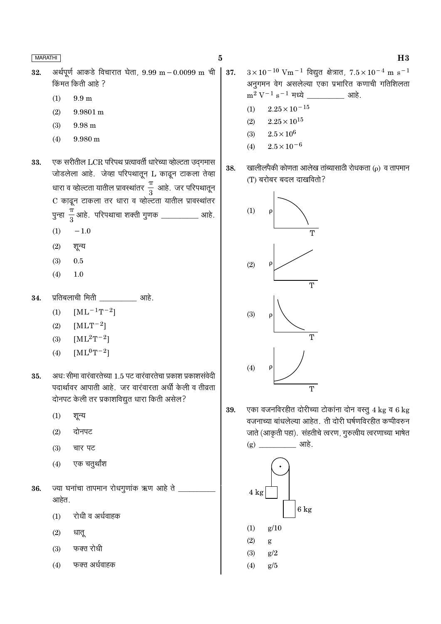- अर्थपूर्ण आकडे विचारात घेता, 9.99 m 0.0099 m ची 32. किंमत किती आहे ?
	- $9.9<sub>m</sub>$  $(1)$
	- $(2)$  $9.9801 \text{ m}$
	- $(3)$ 9.98 m
	- $9.980 \text{ m}$  $(4)$
- एक सरीतील LCR परिपथ प्रत्यावर्ती धारेच्या व्होल्टता उद्गमास 33. जोडलेला आहे. जेव्हा परिपथातून L काढून टाकला तेव्हा धारा व व्होल्टता यातील प्रावस्थांतर $\frac{\pi}{3}$  आहे. जर परिपथातून C काढून टाकला तर धारा व व्होल्टता यातील प्रावस्थांतर पुन्हा  $\frac{\pi}{3}$  आहे. परिपथाचा शक्ती गुणक \_\_\_\_\_\_\_\_\_\_\_ आहे.
	- $(1)$  $-1.0$
	- $(2)$ शून्य
	- $(3)$  $0.5$
	- $1.0$  $(4)$
- प्रतिबलाची मिती \_\_\_\_\_\_\_\_\_\_\_\_\_\_ आहे. 34.
	- $[\mathrm{ML^{-1}T^{-2}}]$  $(1)$
	- $[MLT^{-2}]$  $(2)$
	- $[ML^2T^{-2}]$  $(3)$
	- $[ML^0T^{-2}]$  $(4)$
- अधः सीमा वारंवारतेच्या 1.5 पट वारंवारतेचा प्रकाश प्रकाशसंवेदी 35. पदार्थावर आपाती आहे. जर वारंवारता अर्धी केली व तीव्रता दोनपट केली तर प्रकाशविद्युत धारा किती असेल?
	- $(1)$ शून्य
	- $(2)$ दोनपट
	- $(3)$ चार पट
	- $(4)$ एक चतुर्थांश
- ज्या घनांचा तापमान रोधगुणांक ऋण आहे ते 36. आहेत.
	- रोधी व अर्धवाहक  $(1)$
	- $(2)$ धात्
	- फक्त रोधी  $(3)$
	- फक्त अर्धवाहक  $(4)$
- $3 \times 10^{-10}$  Vm<sup>-1</sup> विद्युत क्षेत्रात,  $7.5 \times 10^{-4}$  m s<sup>-1</sup> 37. अनुगमन वेग असलेल्या एका प्रभारित कणाची गतिशिलता  $m^2 V^{-1} s^{-1}$  मध्ये <u>\_\_\_\_\_\_\_\_\_\_\_\_</u> आहे.
	- $2.25 \!\times\! 10^{-15}$  $(1)$
	- $(2)$  $2.25 \times 10^{15}$
	- $(3)$  $2.5\times10^6$
	- $2.5 \times 10^{-6}$  $(4)$

खालीलपैकी कोणता आलेख तांब्यासाठी रोधकता (ρ) व तापमान 38. (T) बरोबर बदल दाखवितो?



एका वजनविरहीत दोरीच्या टोकांना दोन वस्तू 4 kg व 6 kg 39. वजनाच्या बांधलेल्या आहेत. ती दोरी घर्षणविरहीत कप्पीवरुन जाते (आकृती पहा). संहतीचे त्वरण, गुरुत्वीय त्वरणाच्या भाषेत  $(g)$ आहे.

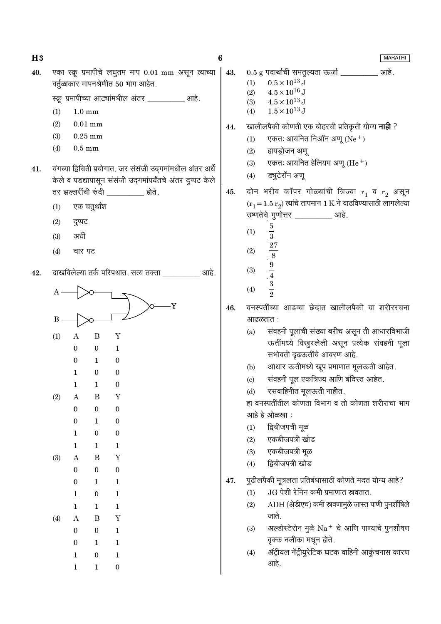$H3$ 40.

एका स्क्रू प्रमापीचे लघुतम माप 0.01 mm असून त्याच्या वर्तूळाकार मापनश्रेणीत 50 भाग आहेत.

स्क्रू प्रमापीच्या आट्यांमधील अंतर खर्चा आहे.

- $(1)$  $1.0 \text{ mm}$
- $(2)$  $0.01$  mm
- $(3)$  $0.25$  mm
- $(4)$  $0.5 \text{ mm}$
- यंगच्या द्विचिती प्रयोगात, जर संसंजी उद्गमांमधील अंतर अर्धे 41. केले व पडद्यापासून संसंजी उद्गमांपर्यंतचे अंतर दुप्पट केले तर झल्लरींची रुंदी करा होते.
	- एक चतुर्थांश  $(1)$
	- $(2)$ दुप्पट
	- $(3)$ अर्धी
	- चार पट  $(4)$

दाखविलेल्या तर्क परिपथात, सत्य तक्ता आहे 42.



6

**MARATHI** 

आहे.

- 43.
	- $0.5\times10^{13}\,\mathrm{J}$  $(1)$
	- $4.5\times10^{16}\,\mathrm{J}$  $(2)$  $4.5 \times 10^{13}$  J
	- $(3)$  $(4)$  $1.5 \times 10^{13}$  J
- खालीलपैकी कोणती एक बोहरची प्रतिकृती योग्य **नाही** ? 44.
	- एकतः आयनित निऑन अणू  $(Ne<sup>+</sup>)$  $(1)$
	- $(2)$ हायड़ोजन अण
	- एकतः आयनित हेलियम अणू (He $^+$ )  $(3)$
	- ड्युटेरॉन अणू  $(4)$
- 45. दोन भरीव कॉपर गोळ्यांची त्रिज्या r<sub>1</sub> व r<sub>2</sub> असून  $(r_1 = 1.5 r_2)$  त्यांचे तापमान 1 K ने वाढविण्यासाठी लागलेल्या उष्णतेचे गुणोत्तर \_\_\_\_\_\_\_\_\_\_\_ आहे.
	- $\frac{5}{3}$  $(1)$  $\frac{27}{8}$  $(2)$
	- $(3)$  $\frac{1}{4}$  $\frac{3}{2}$
	- $(4)$
- वनस्पतींच्या आडव्या छेदात खालीलपैकी या शरीररचना 46. आढळतात:
	- संवहनी पूलांची संख्या बरीच असून ती आधारविभाजी  $(a)$ ऊतींमध्ये विखुरलेली असून प्रत्येक संवहनी पूला सभोवती दृढऊतींचे आवरण आहे.
	- आधार ऊतीमध्ये खूप प्रमाणात मूलऊती आहेत.  $(b)$
	- संवहनी पूल एकत्रिज्य आणि बंदिस्त आहेत.  $(c)$
	- रसवाहिनीत मूलऊती नाहीत.  $(d)$

हा वनस्पतींतील कोणता विभाग व तो कोणता शरीराचा भाग आहे हे ओळखा:

- द्विबीजपत्री मूळ  $(1)$
- एकबीजपत्री खोड  $(2)$
- एकबीजपत्री मूळ  $(3)$
- द्विबीजपत्री खोड  $(4)$

पुढीलपैकी मूत्रलता प्रतिबंधासाठी कोणते मदत योग्य आहे? 47.

- $JG$  पेशी रेनिन कमी प्रमाणात स्रवतात.  $(1)$
- ADH (अेडीएच) कमी स्रवणामुळे जास्त पाणी पुनर्शोषिले  $(2)$ जाते
- अल्डोस्टेरोन मुळे  $Na^+$  चे आणि पाण्याचे पुनर्शोषण  $(3)$ वृक्क नलीका मधून होते.
- ॲट्रीयल नॅट्रीयुरेटिक घटक वाहिनी आकुंचनास कारण  $(4)$ आहे.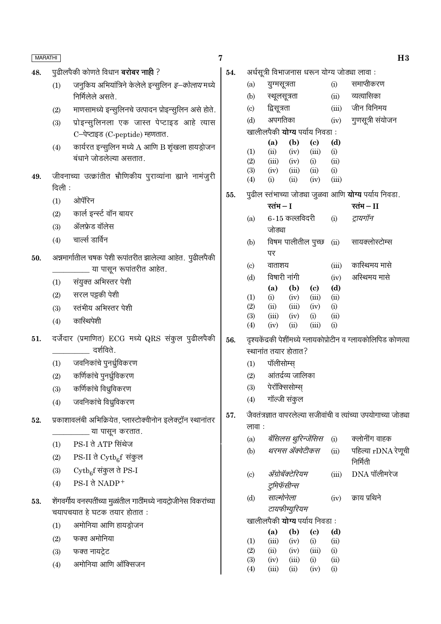| <b>MARATHI</b> |                                             |                                                                                                     | 7   |                            |               |                                      |                             |             | H3                                                              |
|----------------|---------------------------------------------|-----------------------------------------------------------------------------------------------------|-----|----------------------------|---------------|--------------------------------------|-----------------------------|-------------|-----------------------------------------------------------------|
| 48.            |                                             | पुढीलपैकी कोणते विधान <b>बरोबर नाही</b> ?                                                           | 54. |                            |               |                                      |                             |             | अर्धसूत्री विभाजनास धरून योग्य जोड्या लावा:                     |
|                | (1)                                         | जनुकिय अभियांत्रिने केलेले इन्सुलिन <i>इ–कोलाय</i> मध्ये                                            |     | (a)                        | युग्मसूत्रता  |                                      |                             | (i)         | समाप्तीकरण                                                      |
|                |                                             | निर्मिलेले असते.                                                                                    |     | (b)                        | स्थूलसूत्रता  |                                      |                             | (ii)        | व्यत्यासिका                                                     |
|                | (2)                                         | माणसामध्ये इन्सुलिनचे उत्पादन प्रोइन्सुलिन असे होते.                                                |     | $\left( \circ \right)$     | द्विसूत्रता   |                                      |                             | (iii)       | जीन विनिमय                                                      |
|                | (3)                                         | प्रोइन्सुलिनला एक जास्त पेप्टाइड आहे त्यास                                                          |     | (d)                        | अपगतिका       |                                      |                             | (iv)        | गुणसूत्री संयोजन                                                |
|                |                                             | C-पेप्टाइड (C-peptide) म्हणतात.                                                                     |     |                            |               | खालीलपैकी <b>योग्य</b> पर्याय निवडा: |                             |             |                                                                 |
|                | (4)                                         | कार्यरत इन्सुलिन मध्ये A आणि B शृंखला हायड्रोजन                                                     |     | (1)                        | (a)<br>(ii)   | (b)<br>(iv)                          | (c)<br>(iii)                | (d)<br>(i)  |                                                                 |
|                |                                             | बंधाने जोडलेल्या असतात.                                                                             |     | (2)                        | (iii)         | (iv)                                 | (i)                         | (ii)        |                                                                 |
| 49.            |                                             | जीवनाच्या उत्क्रांतीत भ्रौणिकीय पुराव्यांना ह्याने नामंजुरी                                         |     | (3)                        | (iv)          | (iii)                                | (ii)                        | (i)         |                                                                 |
|                | दिली :                                      |                                                                                                     |     | (4)                        | (i)           | (ii)                                 | (iv)                        | (iii)       |                                                                 |
|                | (1)                                         | ओपॅरिन                                                                                              | 55. |                            |               |                                      |                             |             | पुढील स्तंभाच्या जोड्या जुळवा आणि योग्य पर्याय निवडा.           |
|                | (2)                                         | कार्ल इन्स्ट वॉन बायर                                                                               |     |                            | रतंभ $-I$     |                                      |                             |             | रतंभ $-II$                                                      |
|                | (3)                                         | ॲलफ्रेड वॉलेस                                                                                       |     | (a)                        | जोड्या        | 6-15 कल्लविदरी                       |                             | (i)         | ट्रायगॉन                                                        |
|                | (4)                                         | चार्ल्स डार्विन                                                                                     |     | (b)                        |               | विषम पालीतील पुच्छ                   |                             | (ii)        | सायक्लोस्टोम्स                                                  |
|                |                                             |                                                                                                     |     |                            | पर            |                                      |                             |             |                                                                 |
| 50.            |                                             | अन्नमार्गातील चषक पेशी रूपांतरीत झालेल्या आहेत. पुढीलपैकी                                           |     | $\left( \circ \right)$     | वाताशय        |                                      |                             | (iii)       | कास्थिमय मासे                                                   |
|                |                                             | या पासून रूपांतरीत आहेत.                                                                            |     | (d)                        |               | विषारी नांगी                         |                             | (iv)        | अस्थिमय मासे                                                    |
|                | (1)                                         | संयुक्त अभिस्तर पेशी                                                                                |     |                            | (a)           | (b)                                  | (c)                         | (d)         |                                                                 |
|                | (2)                                         | सरल पट्टकी पेशी                                                                                     |     | (1)                        | (i)           | (iv)                                 | (iii)<br>(iv)               | (ii)        |                                                                 |
|                | (3)                                         | स्तंभीय अभिस्तर पेशी                                                                                |     | (2)<br>(3)                 | (ii)<br>(iii) | (iii)<br>(iv)                        | (i)                         | (i)<br>(ii) |                                                                 |
|                | (4)                                         | कास्थिपेशी                                                                                          |     | (4)                        | (iv)          | (ii)                                 | (iii)                       | (i)         |                                                                 |
| 51.            |                                             | दर्जेदार (प्रमाणित) ECG मध्ये QRS संकुल पुढीलपैकी                                                   | 56. |                            |               |                                      |                             |             | दृश्यकेंद्रकी पेशींमध्ये ग्लायकोप्रोटीन व ग्लायकोलिपिड कोणत्या  |
|                |                                             | दर्शविते.                                                                                           |     |                            |               | स्थानांत तयार होतात?                 |                             |             |                                                                 |
|                | (1)                                         | जवनिकांचे पुनर्ध्रुविकरण                                                                            |     | (1)                        | पॉलीसोम्स्    |                                      |                             |             |                                                                 |
|                | (2)                                         | कर्णिकांचे पुनर्ध्रुविकरण                                                                           |     | (2)                        |               | आंतर्द्रव्य जालिका                   |                             |             |                                                                 |
|                | (3)                                         | कर्णिकांचे विध्रुविकरण                                                                              |     | (3)                        |               | पेरॉक्सिसोम्स्                       |                             |             |                                                                 |
|                | (4)                                         | जवनिकांचे विध्रुविकरण                                                                               |     | (4)                        |               | गॉल्जी संकुल                         |                             |             |                                                                 |
| 52.            |                                             | प्रकाशावलंबी अभिक्रियेत, प्लास्टोक्वीनोन इलेक्ट्रॉन स्थानांतर                                       | 57. |                            |               |                                      |                             |             | जैवतंत्रज्ञात वापरलेल्या सजीवांची व त्यांच्या उपयोगाच्या जोड्या |
|                |                                             | या पासून करतात.                                                                                     |     | लावा :                     |               |                                      |                             |             |                                                                 |
|                | (1)                                         | PS-I ते ATP सिंथेज                                                                                  |     | (a)                        |               | बॅसिलस थुरिन्जेंसिस                  |                             | (i)         | क्लोनींग वाहक                                                   |
|                | (2)                                         | $PS-II$ ते $\mathrm{Cytb}_6f$ संकुल                                                                 |     | (b)                        |               | थरमस ॲक्वेटीकस                       |                             | (ii)        | पहिल्या $rDNA$ रेणूची                                           |
|                | (3)                                         | $\mathrm{Cytb}_6$ f संकुल ते PS-I                                                                   |     |                            |               | ॲग्रोबॅक्टेरियम                      |                             |             | निर्मिती<br>$DNA$ पॉलीमरेज                                      |
|                | (4)                                         | $PS-I$ ते NADP <sup>+</sup>                                                                         |     | $\left( \mathrm{c}\right)$ |               | टुमिफॅसीन्स                          |                             | (iii)       |                                                                 |
|                |                                             |                                                                                                     |     | (d)                        | साल्मोनेला    |                                      |                             | (iv)        | क्राय प्रथिने                                                   |
| 53.            |                                             | शेंगवर्गीय वनस्पतींच्या मुळांतील गाठींमध्ये नायट्रोजीनेस विकरांच्या<br>चयापचयात हे घटक तयार होतात : |     |                            |               | टायफीम्युरियम                        |                             |             |                                                                 |
|                |                                             | अमोनिया आणि हायड्रोजन                                                                               |     |                            |               | खालीलपैकी योग्य पर्याय निवडा:        |                             |             |                                                                 |
|                | (1)                                         | फक्त अमोनिया                                                                                        |     |                            | (a)           | (b)                                  | $\left( \mathbf{c} \right)$ | (d)         |                                                                 |
|                | (2)                                         |                                                                                                     |     | (1)<br>(2)                 | (iii)<br>(ii) | (iv)<br>(iv)                         | (i)<br>(iii)                | (ii)<br>(i) |                                                                 |
|                | फक्त नायट्रेट<br>(3)<br>अमोनिया आणि ऑक्सिजन |                                                                                                     |     | (3)                        | (iv)          | (iii)                                | (i)                         | (ii)        |                                                                 |
|                | (4)                                         |                                                                                                     |     | (4)                        | (iii)         | (ii)                                 | (iv)                        | (i)         |                                                                 |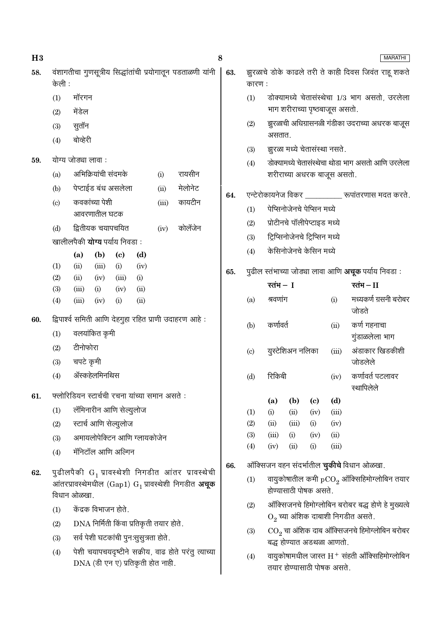| H3  |                                                                                                                                                 |                    |                      |                                   |             |                                               |                                                                                          | 8   |                                                                                          |                                      |                                 |                              |                                | <b>MARATHI</b>                                              |
|-----|-------------------------------------------------------------------------------------------------------------------------------------------------|--------------------|----------------------|-----------------------------------|-------------|-----------------------------------------------|------------------------------------------------------------------------------------------|-----|------------------------------------------------------------------------------------------|--------------------------------------|---------------------------------|------------------------------|--------------------------------|-------------------------------------------------------------|
| 58. | केली :                                                                                                                                          |                    |                      |                                   |             |                                               | वंशागतीचा गुणसूत्रीय सिद्धांतांची प्रयोगातून पडताळणी यांनी                               | 63. | कारण :                                                                                   |                                      |                                 |                              |                                | झुरळाचे डोके काढले तरी ते काही दिवस जिवंत राहू शकते         |
|     | (1)<br>(2)                                                                                                                                      | मॉरगन<br>मेंडेल    |                      |                                   |             |                                               |                                                                                          |     | (1)                                                                                      |                                      |                                 |                              | भाग शरीराच्या पृष्ठबाजूस असतो. | डोक्यामध्ये चेतासंस्थेचा 1/3 भाग असतो, उरलेला               |
|     | (3)                                                                                                                                             | सुतॉन<br>बोव्हेरी  |                      |                                   |             |                                               |                                                                                          |     | (2)                                                                                      | असतात.                               |                                 |                              |                                | झुरळाची अधिग्रासनळी गंडीका उदराच्या अधरक बाजूस              |
|     | (4)                                                                                                                                             |                    |                      |                                   |             |                                               |                                                                                          |     | (3)                                                                                      |                                      |                                 |                              | झुरळा मध्ये चेतासंस्था नसते.   |                                                             |
| 59. |                                                                                                                                                 | योग्य जोड्या लावा: |                      |                                   |             |                                               |                                                                                          |     | (4)                                                                                      |                                      |                                 |                              |                                | डोक्यामध्ये चेतासंस्थेचा थोडा भाग असतो आणि उरलेला           |
|     | (a)                                                                                                                                             |                    | अभिक्रियांची संदमके  |                                   |             | (i)                                           | रायसीन                                                                                   |     |                                                                                          |                                      |                                 |                              | शरीराच्या अधरक बाजूस असतो.     |                                                             |
|     | (b)                                                                                                                                             |                    |                      | पेप्टाईड बंध असलेला               |             | (ii)                                          | मेलोनेट                                                                                  | 64. |                                                                                          |                                      |                                 |                              |                                |                                                             |
|     | कवकांच्या पेशी<br>कायटीन<br>(iii)<br>(c)<br>आवरणातील घटक<br>द्वितीयक चयापचयित<br>कोलॅजेन<br>(iv)<br>(d)<br>खालीलपैकी <b>योग्य</b> पर्याय निवडा: |                    |                      |                                   |             |                                               |                                                                                          |     | एन्टेरोकायनेज विकर __________ रूपांतरणास मदत करते.<br>पेप्सिनोजेनचे पेप्सिन मध्ये<br>(1) |                                      |                                 |                              |                                |                                                             |
|     |                                                                                                                                                 |                    |                      |                                   |             |                                               |                                                                                          |     | (2)                                                                                      |                                      |                                 | प्रोटीनचे पॉलीपेप्टाइड मध्ये |                                |                                                             |
|     |                                                                                                                                                 |                    |                      |                                   |             |                                               |                                                                                          | (3) |                                                                                          |                                      | ट्रिप्सिनोजेनचे ट्रिप्सिन मध्ये |                              |                                |                                                             |
|     |                                                                                                                                                 |                    |                      |                                   |             |                                               |                                                                                          |     | (4)                                                                                      |                                      |                                 | केसिनोजेनचे केसिन मध्ये      |                                |                                                             |
|     | (1)                                                                                                                                             | (a)<br>(ii)        | (b)<br>(iii)         | $\left( \mathrm{c}\right)$<br>(i) | (d)<br>(iv) |                                               |                                                                                          |     |                                                                                          |                                      |                                 |                              |                                |                                                             |
|     | (2)                                                                                                                                             | (ii)               | (iv)                 | (iii)                             | (i)         |                                               |                                                                                          | 65. |                                                                                          |                                      |                                 |                              |                                | पुढील स्तंभाच्या जोड्या लावा आणि <b>अचूक</b> पर्याय निवडा : |
|     | (3)                                                                                                                                             | (iii)              | (i)                  | (iv)                              | (ii)        |                                               |                                                                                          |     |                                                                                          | रतंभ $-1$                            |                                 |                              |                                | रतंभ $-II$                                                  |
|     | (4)                                                                                                                                             | (iii)              | (iv)                 | (i)                               | (ii)        |                                               |                                                                                          |     | (a)                                                                                      | श्रवणांग                             |                                 |                              | (i)                            | मध्यकर्ण ग्रसनी बरोबर<br>जोडते                              |
| 60. |                                                                                                                                                 |                    |                      |                                   |             |                                               | द्विपार्श्व समिती आणि देहगुहा रहित प्राणी उदाहरण आहे:                                    |     | (b)                                                                                      | कर्णावर्त                            |                                 |                              | (ii)                           | कर्ण गहनाचा                                                 |
|     | (1)                                                                                                                                             |                    | वलयांकित कृमी        |                                   |             |                                               |                                                                                          |     |                                                                                          |                                      |                                 |                              |                                | गुंडाळलेला भाग                                              |
|     | (2)                                                                                                                                             | टीनोफोरा           |                      |                                   |             |                                               |                                                                                          |     | $\left( \text{c} \right)$                                                                |                                      | युस्टेशिअन नलिका                |                              | (iii)                          | अंडाकार खिडकीशी                                             |
|     | (3)                                                                                                                                             | चपटे कृमी          |                      |                                   |             |                                               |                                                                                          |     |                                                                                          |                                      |                                 |                              |                                | जोडलेले                                                     |
|     | (4)                                                                                                                                             |                    | ॲस्कहेलमिनथिस        |                                   |             |                                               |                                                                                          |     | (d)                                                                                      | रिकिबी                               |                                 |                              | (iv)                           | कर्णावर्त पटलावर<br>स्थापिलेले                              |
| 61. |                                                                                                                                                 |                    |                      |                                   |             | फ्लोरिडियन स्टार्चची रचना यांच्या समान असते : |                                                                                          |     |                                                                                          | (a)                                  | (b)                             | $\left( \mathrm{c}\right)$   | (d)                            |                                                             |
|     | (1)                                                                                                                                             |                    |                      | लॅमिनारीन आणि सेल्युलोज           |             |                                               |                                                                                          |     | (1)                                                                                      | (i)                                  | (ii)                            | (iv)                         | (iii)                          |                                                             |
|     | (2)                                                                                                                                             |                    |                      | स्टार्च आणि सेल्युलोज             |             |                                               |                                                                                          |     | (2)<br>(3)                                                                               | (ii)<br>(iii)                        | (iii)<br>(i)                    | (i)<br>(iv)                  | (iv)<br>(ii)                   |                                                             |
|     | (3)                                                                                                                                             |                    |                      | अमायलोपेक्टिन आणि ग्लायकोजेन      |             |                                               |                                                                                          |     | (4)                                                                                      | (iv)                                 | (ii)                            | (i)                          | (iii)                          |                                                             |
|     | (4)                                                                                                                                             |                    |                      | मॅनिटॉल आणि अल्गिन                |             |                                               |                                                                                          |     |                                                                                          |                                      |                                 |                              |                                |                                                             |
| 62. |                                                                                                                                                 |                    |                      |                                   |             |                                               | पुढीलपैकी $G_1$ प्रावस्थेशी निगडीत आंतर प्रावस्थेची                                      | 66. |                                                                                          |                                      |                                 |                              |                                | ऑक्सिजन वहन संदर्भातील <b>चुकीचे</b> विधान ओळखा.            |
|     |                                                                                                                                                 |                    |                      |                                   |             |                                               | आंतरप्रावस्थेमधील ( $\operatorname{Gap1}$ ) $\operatorname{G}_1$ प्रावस्थेशी निगडीत अचूक |     | (1)                                                                                      |                                      |                                 | होण्यासाठी पोषक असते.        |                                | वायुकोषातील कमी $pCO2$ ऑक्सिहिमोग्लोबिन तयार                |
|     |                                                                                                                                                 | विधान ओळखा.        |                      |                                   |             |                                               |                                                                                          |     | (2)                                                                                      |                                      |                                 |                              |                                | ऑक्सिजनचे हिमोग्लोबिन बरोबर बद्ध होणे हे मुख्यत्वे          |
|     | (1)                                                                                                                                             |                    | केंद्रक विभाजन होते. |                                   |             |                                               |                                                                                          |     |                                                                                          | $O_2$ च्या अंशिक दाबाशी निगडीत असते. |                                 |                              |                                |                                                             |
|     | DNA निर्मिती किंवा प्रतिकृती तयार होते.<br>(2)                                                                                                  |                    |                      |                                   |             |                                               | $\mathrm{CO}_2$ चा अंशिक दाब ऑक्सिजनचे हिमोग्लोबिन बरोबर<br>(3)                          |     |                                                                                          |                                      |                                 |                              |                                |                                                             |
|     | सर्व पेशी घटकांची पुनःसुसुत्रता होते.<br>(3)                                                                                                    |                    |                      |                                   |             | बद्ध होण्यात अडथळा आणतो.                      |                                                                                          |     |                                                                                          |                                      |                                 |                              |                                |                                                             |
|     | पेशी चयापचयदृष्टीने सक्रीय, वाढ होते परंतु त्याच्या<br>(4)<br>DNA (डी एन ए) प्रतिकृती होत नाही.                                                 |                    |                      |                                   |             |                                               |                                                                                          | (4) | वायुकोषामधील जास्त $H^+$ संहती ऑक्सिहिमोग्लोबिन<br>तयार होण्यासाठी पोषक असते.            |                                      |                                 |                              |                                |                                                             |
|     |                                                                                                                                                 |                    |                      |                                   |             |                                               |                                                                                          |     |                                                                                          |                                      |                                 |                              |                                |                                                             |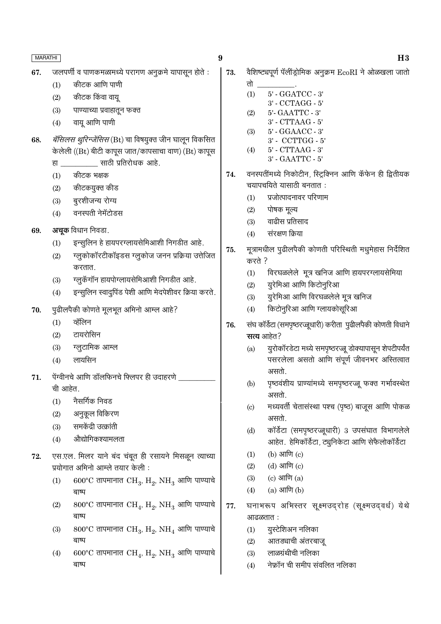- 67. जलपर्णी व पाणकमळामध्ये परागण अनुक्रमे यापासून होते :
	- कीटक आणि पाणी  $(1)$
	- $(2)$ कीटक किंवा वायु
	- $(3)$ पाण्याच्या प्रवाहातून फक्त
	- वायू आणि पाणी  $(4)$
- *बॅसिलस थुरिन्जेंसिस* (Bt) चा विषयुक्त जीन घालून विकसित 68. केलेली ((Bt) बीटी कापूस जात/कापसाचा वाण) (Bt) कापूस \_ साठी प्रतिरोधक आहे. हा
	- कीटक भक्षक  $(1)$
	- कीटकयुक्त कीड  $(2)$
	- बुरशीजन्य रोग्य  $(3)$
	- वनस्पती नेमॅटोडस  $(4)$
- 69. अचूक विधान निवडा.
	- इन्सुलिन हे हायपरग्लायसेमिआशी निगडीत आहे.  $(1)$
	- ग्लूकोकॉरटीकॉइडस ग्लूकोज जनन प्रक्रिया उत्तेजित  $(2)$ करतात.
	- ग्लुकॅगॉन हायपोग्लायसेमिआशी निगडीत आहे.  $(3)$
	- इन्सुलिन स्वादुपिंड पेशी आणि मेदपेशीवर क्रिया करते.  $(4)$
- पुढीलपैकी कोणते मूलभूत अमिनो आम्ल आहे? 70.
	- व्हॅलिन  $(1)$
	- $(2)$ टायरोसिन
	- $(3)$ ग्लुटामिक आम्ल
	- लायसिन  $(4)$
- पेंग्वीनचे आणि डॉलफिनचे फ्लिपर ही उदाहरणे 71. ची आहेत.
	- नैसर्गिक निवड  $(1)$
	- $(2)$ अनुकूल विकिरण
	- समकेंदी उत्क्रांती  $(3)$
	- $(4)$ औद्योगिकश्यामलता
- एस.एल. मिलर याने बंद चंबूत ही रसायने मिसळून त्याच्या 72. प्रयोगात अमिनो आम्ले तयार केली :
	- 600°C तापमानात CH<sub>3</sub>, H<sub>2</sub>, NH<sub>3</sub> आणि पाण्याचे  $(1)$ बाष्प
	- $(2)$ 800°C तापमानात  $\rm CH_{4}$ ,  $\rm H_{2}$ ,  $\rm NH_{3}$  आणि पाण्याचे बाष्प
	- 800°C तापमानात  $CH_3$ ,  $H_2$ , NH<sub>4</sub> आणि पाण्याचे  $(3)$ बाष्प
	- $(4)$ 600°C तापमानात  $\rm CH_{4}$ ,  $\rm H_{2}$ ,  $\rm NH_{3}$  आणि पाण्याचे बाष्प

9

- वैशिष्ट्यपूर्ण पॅलींड्रोमिक अनूक्रम EcoRI ने ओळखला जातो 73.
	- तो 5' - GGATCC - 3'  $(1)$
	- 3' CCTAGG 5'
	- 5'- GAATTC 3'  $(2)$
	- 3' CTTAAG 5'
	- $(3)$ 5' - GGAACC - 3' 3' - CCTTGG - 5'
	- 5' CTTAAG 3'  $(4)$ 
		- 3' GAATTC 5'
- वनस्पतींमध्ये निकोटीन, स्ट्रिक्निन आणि कॅफेन ही द्वितीयक 74. चयापचयिते यासाठी बनतात :
	- $(1)$ प्रजोत्पादनावर परिणाम
	- $(2)$ पोषक मूल्य
	- वाढीस प्रतिसाद  $(3)$
	- $(4)$ संरक्षण किया
- मूत्रामधील पुढीलपैकी कोणती परिस्थिती मधुमेहास निर्देशित 75. करते ?
	- विरघळलेले मुत्र खनिज आणि हायपरग्लायसेमिया  $(1)$
	- युरेमिआ आणि किटोनुरिआ  $(2)$
	- यूरेमिआ आणि विरघळलेले मुत्र खनिज  $(3)$
	- किटोनुरिआ आणि ग्लायकोसूरिआ  $(4)$
- 76. संघ कॉर्डेटा (समपृष्ठरज्जूधारी) करीता पुढीलपैकी कोणती विधाने सत्य आहेत?
	- युरोकॉरडेटा मध्ये समपृष्ठरज्जू डोक्यापासून शेपटीपर्यंत  $(a)$ पसरलेला असतो आणि संपूर्ण जीवनभर अस्तित्वात असतो.
	- पृष्ठवंशीय प्राण्यांमध्ये समपृष्ठरज्जू फक्त गर्भावस्थेत  $(b)$ असतो.
	- मध्यवर्ती चेतासंस्था पश्च (पृष्ठ) बाजूस आणि पोकळ  $(c)$ असतो.
	- कॉर्डेटा (समपृष्ठरज्जूधारी) 3 उपसंघात विभागलेले  $(d)$ आहेत. हेमिकॉर्डेटा, ट्युनिकेटा आणि सेफैलोकॉर्डेटा
	- (b) आणि (c)  $(1)$
	- $(d)$  आणि  $(c)$  $(2)$
	- (c) आणि  $(a)$  $(3)$
	- $(a)$  आणि  $(b)$  $(4)$
- 77. घनाभरूप अभिस्तर सूक्ष्मउद्रोह (सूक्ष्मउद्वर्ध) येथे आढळतात:
	- युस्टेशिअन नलिका  $(1)$
	- आतड्याची अंतरबाजू  $(2)$
	- लाळग्रंथीची नलिका  $(3)$
	- नेफ्रॉन ची समीप संवलित नलिका  $(4)$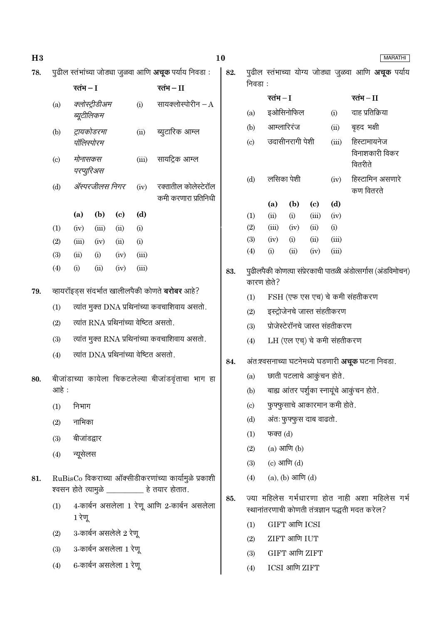| H3  |                        |                                                                                                         |                        |                            |       |                                                               | 10                                                                   |                                                            |                 |                              |                                     |                                | <b>MARATHI</b>                                               |  |
|-----|------------------------|---------------------------------------------------------------------------------------------------------|------------------------|----------------------------|-------|---------------------------------------------------------------|----------------------------------------------------------------------|------------------------------------------------------------|-----------------|------------------------------|-------------------------------------|--------------------------------|--------------------------------------------------------------|--|
| 78. |                        |                                                                                                         |                        |                            |       | पुढील स्तंभांच्या जोड्या जुळवा आणि <b>अचूक</b> पर्याय निवडा : | 82.                                                                  | पुढील स्तंभाच्या योग्य जोड्या जुळवा आणि <b>अचूक</b> पर्याय |                 |                              |                                     |                                |                                                              |  |
|     |                        | रतंभ $-I$                                                                                               |                        |                            |       | रतंभ $-I$                                                     |                                                                      | निवडा :                                                    |                 |                              |                                     |                                |                                                              |  |
|     | (a)                    |                                                                                                         | क्लोस्ट्रीडीअम         |                            | (i)   | सायक्लोस्पोरीन $-A$                                           |                                                                      |                                                            | रतंभ $-I$       |                              |                                     |                                | रतंभ $-I$                                                    |  |
|     |                        |                                                                                                         | ब्यूटीलिकम             |                            |       |                                                               |                                                                      | (a)                                                        |                 | इओसिनोफिल                    |                                     | (i)                            | दाह प्रतिक्रिया                                              |  |
|     | (b)                    |                                                                                                         | ट्रायकोडरमा            |                            | (ii)  | ब्युटारिक आम्ल                                                |                                                                      | (b)                                                        | आम्लारिरंज      |                              |                                     | (ii)                           | बृहद भक्षी                                                   |  |
|     |                        |                                                                                                         | पॉलिस्पोरम             |                            |       |                                                               |                                                                      | $\left( \mathrm{c}\right)$                                 | उदासीनरागी पेशी |                              | (iii)                               | हिस्टामायनेज<br>विनाशकारी विकर |                                                              |  |
|     | $\left( \circ \right)$ | मोनासकस                                                                                                 | परप्युरिअस             |                            | (iii) | सायट्रिक आम्ल                                                 |                                                                      |                                                            |                 |                              |                                     |                                | वितरीते                                                      |  |
|     |                        |                                                                                                         | ॲस्परजीलस निगर         |                            |       |                                                               |                                                                      | लसिका पेशी<br>(d)                                          |                 |                              |                                     | (iv)                           | हिस्टामिन असणारे                                             |  |
|     | (d)                    |                                                                                                         |                        |                            | (iv)  | रक्तातील कोलेस्टेरॉल<br>कमी करणारा प्रतिनिधी                  |                                                                      |                                                            |                 |                              |                                     | कण वितरते                      |                                                              |  |
|     |                        | (a)                                                                                                     | (b)                    | $\left( \mathrm{c}\right)$ | (d)   |                                                               |                                                                      | (1)                                                        | (a)<br>(ii)     | (b)<br>(i)                   | $\left( \mathrm{c}\right)$<br>(iii) | (d)<br>(iv)                    |                                                              |  |
|     | (1)                    | (iv)                                                                                                    | (iii)                  | (ii)                       | (i)   |                                                               |                                                                      | (2)                                                        | (iii)           | (iv)                         | (ii)                                | (i)                            |                                                              |  |
|     | (2)                    | (iii)                                                                                                   | (iv)                   | (ii)                       | (i)   |                                                               |                                                                      | (3)                                                        | (iv)            | (i)                          | (ii)                                | (iii)                          |                                                              |  |
|     | (3)                    | (ii)                                                                                                    | (i)                    | (iv)                       | (iii) |                                                               |                                                                      | (4)                                                        | (i)             | (ii)                         | (iv)                                | (iii)                          |                                                              |  |
|     | (4)                    | (i)                                                                                                     | (ii)                   | (iv)                       | (iii) |                                                               | 83.                                                                  |                                                            |                 |                              |                                     |                                | पुढीलपैकी कोणत्या संप्रेरकाची पातळी अंडोत्सर्गास (अंडविमोचन) |  |
| 79. |                        |                                                                                                         |                        |                            |       |                                                               |                                                                      | कारण होते?                                                 |                 |                              |                                     |                                |                                                              |  |
|     | (1)                    | व्हायरॉइड्स संदर्भात खालीलपैकी कोणते <b>बरोबर</b> आहे?<br>त्यांत मुक्त DNA प्रथिनांच्या कवचाशिवाय असतो. |                        |                            |       | (1)                                                           | FSH (एफ एस एच) चे कमी संहतीकरण                                       |                                                            |                 |                              |                                     |                                |                                                              |  |
|     |                        |                                                                                                         |                        |                            |       | त्यांत RNA प्रथिनांच्या वेष्टित असतो.                         |                                                                      | इस्ट्रोजेनचे जास्त संहतीकरण<br>(2)                         |                 |                              |                                     |                                |                                                              |  |
|     | (2)                    |                                                                                                         |                        |                            |       |                                                               | प्रोजेस्टेरॉनचे जास्त संहतीकरण<br>(3)<br>LH (एल एच्) चे कमी संहतीकरण |                                                            |                 |                              |                                     |                                |                                                              |  |
|     | (3)                    |                                                                                                         |                        |                            |       | त्यांत मुक्त RNA प्रथिनांच्या कवचाशिवाय असतो.                 |                                                                      | (4)                                                        |                 |                              |                                     |                                |                                                              |  |
|     | (4)                    |                                                                                                         |                        |                            |       | त्यांत DNA प्रथिनांच्या वेष्टित असतो.                         | 84.                                                                  |                                                            |                 |                              |                                     |                                | अंत:श्वसनाच्या घटनेमध्ये घडणारी <b>अचूक</b> घटना निवडा.      |  |
| 80. |                        |                                                                                                         |                        |                            |       | बीजांडाच्या कायेला चिकटलेल्या बीजांडवृंताचा भाग हा            |                                                                      | (a)                                                        |                 | छाती पटलाचे आकुंचन होते.     |                                     |                                |                                                              |  |
|     | आहे :                  |                                                                                                         |                        |                            |       |                                                               |                                                                      | (b)                                                        |                 |                              |                                     |                                | बाह्य आंतर पर्शुका स्नायूंचे आकुंचन होते.                    |  |
|     | (1)                    | निभाग                                                                                                   |                        |                            |       |                                                               |                                                                      | (c)                                                        |                 | फुफ्फुसाचे आकारमान कमी होते. |                                     |                                |                                                              |  |
|     | (2)                    | नाभिका                                                                                                  |                        |                            |       |                                                               |                                                                      | (d)                                                        |                 | अंतः फुफ्फुस दाब वाढतो.      |                                     |                                |                                                              |  |
|     | (3)                    | बीजांडद्वार                                                                                             |                        |                            |       |                                                               |                                                                      | (1)                                                        | फक्त $(d)$      |                              |                                     |                                |                                                              |  |
|     | (4)                    | न्यूसेलस                                                                                                |                        |                            |       |                                                               |                                                                      | (2)                                                        |                 | $(a)$ आणि $(b)$              |                                     |                                |                                                              |  |
|     |                        |                                                                                                         |                        |                            |       |                                                               |                                                                      | (3)                                                        |                 | (c) आणि $(d)$                |                                     |                                |                                                              |  |
| 81. |                        |                                                                                                         |                        |                            |       | RuBisCo विकराच्या ऑक्सीडीकरणांच्या कार्यामुळे प्रकाशी         |                                                                      | (4)                                                        |                 | $(a), (b)$ आणि $(d)$         |                                     |                                |                                                              |  |
|     |                        |                                                                                                         |                        |                            |       | श्वसन होते त्यामुळे ___________ हे तयार होतात.                | 85.                                                                  |                                                            |                 |                              |                                     |                                | ज्या महिलेस गर्भधारणा होत नाही अशा महिलेस गर्भ               |  |
|     | (1)                    | 1 रेणू                                                                                                  |                        |                            |       | 4-कार्बन असलेला 1 रेणू आणि 2-कार्बन असलेला                    |                                                                      |                                                            |                 |                              |                                     |                                | स्थानांतरणाची कोणती तंत्रज्ञान पद्धती मदत करेल?              |  |
|     |                        |                                                                                                         |                        |                            |       |                                                               |                                                                      | GIFT आणि ICSI<br>(1)                                       |                 |                              |                                     |                                |                                                              |  |
|     | (2)                    |                                                                                                         | 3-कार्बन असलेले 2 रेणू |                            |       |                                                               |                                                                      | (2)                                                        |                 | ZIFT आणि IUT                 |                                     |                                |                                                              |  |
|     | (3)                    | 3-कार्बन असलेला 1 रेणू                                                                                  |                        |                            |       | GIFT आणि ZIFT<br>(3)                                          |                                                                      |                                                            |                 |                              |                                     |                                |                                                              |  |
|     | (4)                    | 6-कार्बन असलेला 1 रेणू                                                                                  |                        |                            |       | (4)                                                           |                                                                      | ICSI आणि ZIFT                                              |                 |                              |                                     |                                |                                                              |  |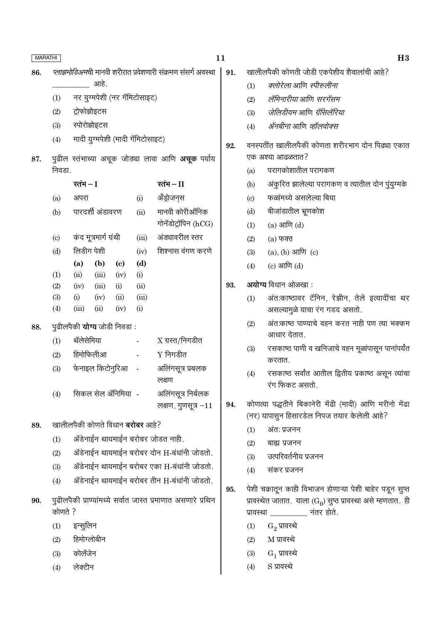| <b>MARATHI</b> |                            |                                                              |                | 11                         |     |                             | H3                                                                                                    |  |  |  |  |
|----------------|----------------------------|--------------------------------------------------------------|----------------|----------------------------|-----|-----------------------------|-------------------------------------------------------------------------------------------------------|--|--|--|--|
| 86.            |                            | प्लाझमोडिअमची मानवी शरीरात प्रवेशणारी संक्रमण संसर्ग अवस्था  |                |                            | 91. |                             | खालीलपैकी कोणती जोडी एकपेशीय शैवालांची आहे?                                                           |  |  |  |  |
|                |                            | आहे.                                                         |                |                            |     | (1)                         | क्लोरेला आणि स्पीरुलीना                                                                               |  |  |  |  |
|                | (1)                        | नर युग्मपेशी (नर गॅमिटोसाइट)                                 |                |                            |     | (2)                         | लॅमिनारीया आणि सरगॅसम                                                                                 |  |  |  |  |
|                | (2)                        | ट्रोफोझोइटस                                                  |                |                            |     | (3)                         | जेलिडीयम आणि ग्रॅसिलॅरिया                                                                             |  |  |  |  |
|                | (3)                        | स्पोरोझोइटस                                                  |                |                            |     | (4)                         | <i>ॲनबीना</i> आणि <i>व्हॉलवोक्स</i>                                                                   |  |  |  |  |
|                | (4)                        | मादी युग्मपेशी (मादी गॅमिटोसाइट)                             |                |                            | 92. |                             | वनस्पतींत खालीलपैकी कोणता शरीरभाग दोन पिढ्या एकात                                                     |  |  |  |  |
| 87.            |                            | पुढील स्तंभाच्या अचूक जोड्या लावा आणि <b>अचूक</b> पर्याय     |                |                            |     | एक अश्या आढळतात?            |                                                                                                       |  |  |  |  |
|                | निवडा.                     |                                                              |                |                            |     | (a)                         | परागकोशातील परागकण                                                                                    |  |  |  |  |
|                |                            | रतंभ $-1$                                                    |                | रतंभ $-$ II                |     | (b)                         | अंकुरित झालेल्या परागकण व त्यातील दोन पुंयुग्मके                                                      |  |  |  |  |
|                | (a)                        | अपरा                                                         | (i)            | ॲंड्रोजन्स                 |     | $\left( \mathrm{c} \right)$ | फळांमध्ये असलेल्या बिया                                                                               |  |  |  |  |
|                | (b)                        | पारदर्शी अंडावरण                                             | (ii)           | मानवी कोरीऑनिक             |     | (d)                         | बीजांडातील भ्रूणकोश                                                                                   |  |  |  |  |
|                |                            |                                                              |                | गोनॅडोट्रॉपिन (hCG)        |     | (1)                         | $(a)$ आणि $(d)$                                                                                       |  |  |  |  |
|                | $\left( \mathrm{c}\right)$ | कंद मूत्रमार्ग ग्रंथी                                        | (iii)          | अंड्यावरील स्तर            |     | (2)                         | $(a)$ फक्त                                                                                            |  |  |  |  |
|                | (d)                        | लिडीग पेशी                                                   | (iv)           | शिश्नास वंगण करणे          |     | (3)                         | $(a)$ , $(b)$ आणि $(c)$                                                                               |  |  |  |  |
|                |                            | (a)<br>(b)<br>$\left( \mathbf{c} \right)$                    | (d)            |                            |     | (4)                         | $(c)$ आणि $(d)$                                                                                       |  |  |  |  |
|                | (1)                        | (ii)<br>(iii)<br>(iv)<br>(iii)<br>(i)                        | (i)<br>(ii)    |                            | 93. |                             | अयोग्य विधान ओळखा:                                                                                    |  |  |  |  |
|                | (2)<br>(3)                 | (iv)<br>(i)<br>(ii)<br>(iv)                                  | (iii)          |                            |     | (1)                         | अंतःकाष्ठावर टॅनिन, रेझीन, तेले इत्यादींचा थर                                                         |  |  |  |  |
|                | (4)                        | (iii)<br>(ii)<br>(iv)                                        | (i)            |                            |     |                             | असल्यामुळे याचा रंग गडद असतो.                                                                         |  |  |  |  |
| 88.            |                            | पुढीलपैकी <b>योग्य</b> जोडी निवडा:                           |                |                            |     | (2)                         | अंत:काष्ठ पाण्याचे वहन करत नाही पण त्या भक्कम<br>आधार देतात.                                          |  |  |  |  |
|                | (1)                        | थॅलेसेमिया                                                   | $\blacksquare$ | $X \pi$ रत/निगडीत          |     | (3)                         | रसकाष्ठ पाणी व खनिजाचे वहन मूळांपासून पानांपर्यंत                                                     |  |  |  |  |
|                | (2)                        | हिमोफिलीआ                                                    | $\blacksquare$ | $Y$ निगडीत                 |     |                             | करतात.                                                                                                |  |  |  |  |
|                | (3)                        | फेनाइल किटोनुरिआ                                             | $\sim$         | अलिंगसूत्र प्रबलक<br>लक्षण |     | (4)                         | रसकाष्ठ सर्वांत आतील द्वितीय प्रकाष्ठ असून त्यांचा<br>रंग फिकट असतो.                                  |  |  |  |  |
|                | (4)                        | सिकल सेल ॲनिमिया -                                           |                | अलिंगसूत्र निर्बलक         |     |                             |                                                                                                       |  |  |  |  |
|                |                            |                                                              |                | लक्षण, गुणसूत्र $-11$      | 94. |                             | कोणत्या पद्धतीने बिकानेरी मेंढी (मादी) आणि मरीनो मेंढा<br>(नर) यापासुन हिसारडेल निपज तयार केलेली आहे? |  |  |  |  |
| 89.            |                            | खालीलपैकी कोणते विधान <b>बरोबर</b> आहे?                      |                |                            |     | (1)                         | अंतः प्रजनन                                                                                           |  |  |  |  |
|                | (1)                        | ॲडेनाईन थायमाईन बरोबर जोडत नाही.                             |                |                            |     | (2)                         | बाह्य प्रजनन                                                                                          |  |  |  |  |
|                | (2)                        | ॲडेनाईन थायमाईन बरोबर दोन H-बंधांनी जोडतो.                   |                |                            |     | (3)                         | उत्परिवर्तनीय प्रजनन                                                                                  |  |  |  |  |
|                | (3)                        | ॲडेनाईन थायमाईन बरोबर एका H-बंधांनी जोडतो.                   |                |                            |     | (4)                         | संकर प्रजनन                                                                                           |  |  |  |  |
|                | (4)                        | ॲडेनाईन थायमाईन बरोबर तीन H-बंधांनी जोडतो.                   |                |                            | 95. |                             | पेशी चक्रातून काही विभाजन होणाऱ्या पेशी बाहेर पडून सुप्त                                              |  |  |  |  |
| 90.            | कोणते ?                    | पुढीलपैकी प्राण्यांमध्ये सर्वात जास्त प्रमाणात असणारे प्रथिन |                |                            |     |                             | प्रावस्थेत जातात. याला $(G_0)$ सुप्त प्रावस्था असे म्हणतात. ही<br>प्रावस्था __________ नंतर होते.     |  |  |  |  |
|                | (1)                        | इन्सुलिन                                                     |                |                            |     | (1)                         | $\mathrm{G}_2$ प्रावस्थे                                                                              |  |  |  |  |
|                | (2)                        | हिमोग्लोबीन                                                  |                |                            |     | (2)                         | $M$ प्रावस्थे                                                                                         |  |  |  |  |
|                | (3)                        | कोलॅजेन                                                      |                |                            |     | (3)                         | $G_1$ प्रावस्थे                                                                                       |  |  |  |  |
|                | (4)                        | लेक्टीन                                                      |                |                            |     | (4)                         | $S$ प्रावस्थे                                                                                         |  |  |  |  |
|                |                            |                                                              |                |                            |     |                             |                                                                                                       |  |  |  |  |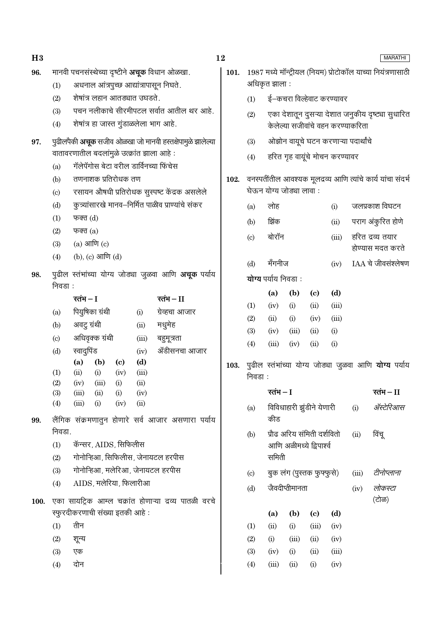| H3   |                            |                                                                                 | 12   |                                                             |                                     |                            |       |                                   |       | <b>MARATHI</b>                                              |
|------|----------------------------|---------------------------------------------------------------------------------|------|-------------------------------------------------------------|-------------------------------------|----------------------------|-------|-----------------------------------|-------|-------------------------------------------------------------|
| 96.  |                            | मानवी पचनसंस्थेच्या दृष्टीने <b>अचूक</b> विधान ओळखा.                            | 101. |                                                             |                                     |                            |       |                                   |       | 1987 मध्ये मॉन्ट्रीयल (नियम) प्रोटोकॉल याच्या नियंत्रणासाठी |
|      | (1)                        | अधनाल आंत्रपुच्छ आद्यांत्रापासून निघते.                                         |      |                                                             | अधिकृत झाला :                       |                            |       |                                   |       |                                                             |
|      | (2)                        | शेषांत्र लहान आतड्यात उघडते.                                                    |      | (1)                                                         |                                     |                            |       | ई–कचरा विल्हेवाट करण्यावर         |       |                                                             |
|      | (3)                        | पचन नलीकाचे सीरमीपटल सर्वात आतील थर आहे.                                        |      | (2)                                                         |                                     |                            |       |                                   |       | एका देशातून दुसऱ्या देशात जनुकीय दृष्ट्या सुधारित           |
|      | (4)                        | शेषांत्र हा जास्त गुंडाळलेला भाग आहे.                                           |      |                                                             |                                     |                            |       | केलेल्या सजीवांचे वहन करण्याकरिता |       |                                                             |
| 97.  |                            | पुढीलपैकी <b>अचूक</b> सजीव ओळखा जो मानवी हस्तक्षेपामुळे झालेल्या                |      | (3)                                                         | ओझोन वायूचे घटन करणाऱ्या पदार्थांचे |                            |       |                                   |       |                                                             |
|      |                            | वातावरणातील बदलांमुळे उत्क्रांत झाला आहे:                                       |      | (4)                                                         |                                     |                            |       | हरित गृह वायूंचे मोचन करण्यावर    |       |                                                             |
|      | (a)                        | गॅलेपॅगोस बेटा वरील डार्विनच्या फिंचेस                                          |      |                                                             |                                     |                            |       |                                   |       |                                                             |
|      | (b)                        | तणनाशक प्रतिरोधक तण                                                             | 102. | वनस्पतींतील आवश्यक मूलद्रव्य आणि त्यांचे कार्य यांचा संदर्भ |                                     |                            |       |                                   |       |                                                             |
|      | $\left( \mathrm{c}\right)$ | रसायन औषधी प्रतिरोधक सुस्पष्ट केंद्रक असलेले                                    |      | घेऊन योग्य जोड्या लावा:                                     |                                     |                            |       |                                   |       |                                                             |
|      | (d)                        | कुत्र्यांसारखे मानव–निर्मित पाळीव प्राण्यांचे संकर                              |      | (a)                                                         | लोह                                 |                            |       | (i)                               |       | जलप्रकाश विघटन                                              |
|      | (1)                        | फक्त $(d)$                                                                      |      | (b)                                                         | झिंक                                |                            |       | (ii)                              |       | पराग अंकुरित होणे                                           |
|      | (2)                        | फक्त $(a)$                                                                      |      | $\left( \mathrm{c}\right)$                                  | बोरॉन                               |                            |       | (iii)                             |       | हरित द्रव्य तयार                                            |
|      | (3)                        | $(a)$ आणि $(c)$                                                                 |      |                                                             |                                     |                            |       |                                   |       | होण्यास मदत करते                                            |
|      | (4)                        | (b), (c) आणि $(d)$                                                              |      | (d)                                                         | मँगनीज                              |                            |       | (iv)                              |       | $IAA$ चे जीवसंश्लेषण                                        |
| 98.  |                            | पुढील स्तंभांच्या योग्य जोड्या जुळवा आणि <b>अचूक</b> पर्याय                     |      |                                                             | योग्य पर्याय निवडा:                 |                            |       |                                   |       |                                                             |
|      | निवडा :                    |                                                                                 |      |                                                             | (a)                                 | (b)                        | (c)   | (d)                               |       |                                                             |
|      |                            | रतंभ $-I$<br>रतंभ $-1$                                                          |      | (1)                                                         | (iv)                                | (i)                        | (ii)  | (iii)                             |       |                                                             |
|      | (a)                        | पियुषिका ग्रंथी<br>ग्रेव्हचा आजार<br>(i)                                        |      | (2)                                                         | (ii)                                | (i)                        | (iv)  | (iii)                             |       |                                                             |
|      | (b)                        | अवटु ग्रंथी<br>मधुमेह<br>(ii)                                                   |      | (3)                                                         | (iv)                                | (iii)                      | (ii)  | (i)                               |       |                                                             |
|      | $\left( \mathrm{c}\right)$ | अधिवृक्क ग्रंथी<br>(iii)<br>बहुमूत्रता                                          |      | (4)                                                         | (iii)                               | (iv)                       | (ii)  | (i)                               |       |                                                             |
|      | (d)                        | स्वादुपिंड<br>ॲडीसनचा आजार<br>(iv)                                              |      |                                                             |                                     |                            |       |                                   |       |                                                             |
|      | (1)                        | (a)<br>(b)<br>(d)<br>$\left( \mathrm{c}\right)$<br>(iii)<br>(ii)<br>(i)<br>(iv) |      |                                                             |                                     |                            |       |                                   |       | 103. पुढील स्तंभांच्या योग्य जोड्या जुळवा आणि योग्य पर्याय  |
|      | (2)                        | (iii)<br>(ii)<br>(i)<br>(iv)                                                    |      | निवडा :                                                     |                                     |                            |       |                                   |       |                                                             |
|      | (3)                        | (iii)<br>(ii)<br>(i)<br>(iv)                                                    |      |                                                             | रतंभ — I                            |                            |       |                                   |       | रतंभ — II                                                   |
|      | (4)                        | (iii)<br>(ii)<br>(i)<br>(iv)                                                    |      | (a)                                                         |                                     | विविधाहारी झुंडीने येणारी  |       |                                   | (i)   | ॲस्टेरिआस                                                   |
| 99.  |                            | लैंगिक संक्रमणातुन होणारे सर्व आजार असणारा पर्याय                               |      |                                                             | कीड                                 |                            |       |                                   |       |                                                             |
|      | निवडा.                     |                                                                                 |      | (b)                                                         |                                     | प्रौढ अरिय संमिती दर्शवितो |       |                                   | (ii)  | विंचू                                                       |
|      | (1)                        | कॅन्सर, AIDS, सिफिलीस                                                           |      |                                                             |                                     | आणि अळीमध्ये द्विपार्श्व   |       |                                   |       |                                                             |
|      | (2)                        | गोनोन्हिआ, सिफिलीस, जेनायटल हरपीस                                               |      |                                                             | समिती                               |                            |       |                                   |       |                                                             |
|      | (3)                        | गोनोन्हिआ, मलेरिआ, जेनायटल हरपीस                                                |      | $\left( \mathrm{c}\right)$                                  |                                     | बुक लंग (पुस्तक फुफ्फुसे)  |       |                                   | (iii) | टीनोप्लाना                                                  |
|      | (4)                        | AIDS, मलेरिया, फिलारीआ                                                          |      | (d)                                                         |                                     | जैवदीप्तीमानता             |       |                                   | (iv)  | लोकस्टा                                                     |
| 100. |                            | एका सायट्रिक आम्ल चक्रांत होणाऱ्या द्रव्य पातळी वरचे                            |      |                                                             |                                     |                            |       |                                   |       | (टोळ)                                                       |
|      |                            | स्फुरदीकरणाची संख्या इतकी आहे:                                                  |      |                                                             | (a)                                 | (b)                        | (c)   | (d)                               |       |                                                             |
|      | (1)                        | तीन                                                                             |      | (1)                                                         | (ii)                                | (i)                        | (iii) | (iv)                              |       |                                                             |
|      | (2)                        | शून्य                                                                           |      | (2)                                                         | (i)                                 | (iii)                      | (ii)  | (iv)                              |       |                                                             |
|      | (3)                        | एक                                                                              |      | (3)                                                         | (iv)                                | (i)                        | (ii)  | (iii)                             |       |                                                             |
|      | (4)                        | दोन                                                                             |      | (4)                                                         | (iii)                               | (ii)                       | (i)   | (iv)                              |       |                                                             |
|      |                            |                                                                                 |      |                                                             |                                     |                            |       |                                   |       |                                                             |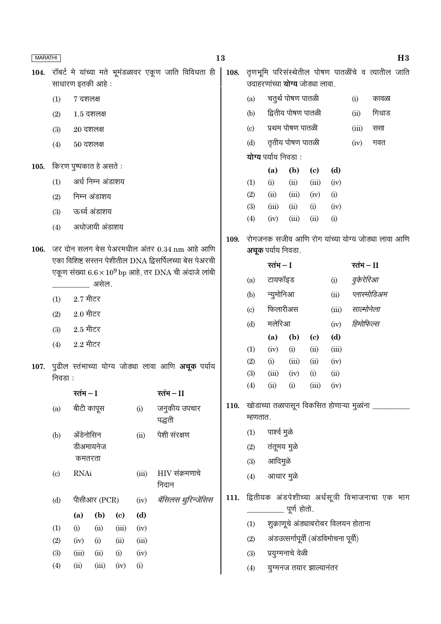| <b>MARATHI</b> |                                              |                                                              |                         |                             |                                              |                                                           | 13         |                             |                                             |                                     |                             |               |                            |                                                   | H3 |
|----------------|----------------------------------------------|--------------------------------------------------------------|-------------------------|-----------------------------|----------------------------------------------|-----------------------------------------------------------|------------|-----------------------------|---------------------------------------------|-------------------------------------|-----------------------------|---------------|----------------------------|---------------------------------------------------|----|
| 104.           |                                              |                                                              | साधारण इतकी आहे:        |                             |                                              | रॉबर्ट मे यांच्या मते भूमंडळावर एकूण जाति विविधता ही      | 108.       |                             | उदाहरणांच्या <b>योग्य</b> जोड्या लावा.      |                                     |                             |               |                            | तृणभूमि परिसंस्थेतील पोषण पातळींचे व त्यातील जाति |    |
|                | (1)                                          | 7 दशलक्ष                                                     |                         |                             |                                              |                                                           |            | (a)                         |                                             | चतुर्थ पोषण पातळी                   |                             |               | (i)                        | कावळा                                             |    |
|                | (2)                                          |                                                              | $1.5$ दशलक्ष            |                             |                                              |                                                           |            | (b)                         |                                             | द्वितीय पोषण पातळी                  |                             |               | (ii)                       | गिधाड                                             |    |
|                | (3)                                          | $20$ दशलक्ष                                                  |                         |                             |                                              |                                                           |            | $\left( \mathrm{c}\right)$  |                                             | प्रथम पोषण पातळी                    |                             |               | (iii)                      | ससा                                               |    |
|                | (4)                                          | $50$ दशलक्ष                                                  |                         |                             |                                              |                                                           |            | (d)                         |                                             | तृतीय पोषण पातळी                    |                             |               | (iv)                       | गवत                                               |    |
|                |                                              |                                                              |                         |                             |                                              |                                                           |            |                             | योग्य पर्याय निवडा:                         |                                     |                             |               |                            |                                                   |    |
| 105.           |                                              |                                                              | किरण पुष्पकात हे असते : |                             |                                              |                                                           |            |                             | (a)                                         | (b)                                 | $\left( \mathbf{c} \right)$ | (d)           |                            |                                                   |    |
|                | (1)                                          |                                                              | अर्ध निम्न अंडाशय       |                             |                                              |                                                           |            | (1)                         | (i)                                         | (ii)                                | (iii)                       | (iv)          |                            |                                                   |    |
|                | (2)                                          |                                                              | निम्न अंडाशय            |                             |                                              |                                                           |            | (2)                         | (ii)                                        | (iii)                               | (iv)                        | (i)           |                            |                                                   |    |
|                | (3)                                          |                                                              | ऊर्ध्व अंडाशय           |                             |                                              |                                                           |            | (3)<br>(4)                  | (iii)<br>(iv)                               | (ii)<br>(iii)                       | (i)<br>(ii)                 | (iv)<br>(i)   |                            |                                                   |    |
|                | (4)                                          | अधोजायी अंडाशय                                               |                         |                             |                                              |                                                           |            |                             |                                             |                                     |                             |               |                            |                                                   |    |
| 106.           | जर दोन सलग बेस पेअरमधील अंतर 0.34 nm आहे आणि |                                                              |                         |                             |                                              |                                                           | 109.       |                             |                                             |                                     |                             |               |                            | रोगजनक सजीव आणि रोग यांच्या योग्य जोड्या लावा आणि |    |
|                |                                              | एका विशिष्ट सस्तन पेशीतील DNA द्विसर्पिलच्या बेस पेअरची      |                         |                             |                                              |                                                           |            |                             | <b>अचूक</b> पर्याय निवडा.                   |                                     |                             |               |                            |                                                   |    |
|                |                                              | एकूण संख्या $6.6 \times 10^9$ bp आहे, तर DNA ची अंदाजे लांबी |                         |                             |                                              |                                                           |            |                             | रतंभ $-I$                                   |                                     |                             |               | रतंभ $-II$                 |                                                   |    |
|                |                                              | असेल.                                                        |                         |                             |                                              |                                                           |            | (a)                         | टायफॉइड                                     |                                     |                             | (i)           | वुकेरेरिआ                  |                                                   |    |
|                | (1)                                          | $2.7$ मीटर                                                   |                         |                             |                                              |                                                           |            | (b)                         | न्युमोनिआ<br>(ii)                           |                                     |                             |               | प्लास्मोडिअम<br>साल्मोनेला |                                                   |    |
|                | (2)                                          | $2.0$ मीटर                                                   |                         |                             |                                              |                                                           |            | $\left( \mathrm{c} \right)$ | फिलारीअस<br>(iii)                           |                                     |                             |               |                            |                                                   |    |
|                | (3)                                          | $2.5$ मीटर                                                   |                         |                             |                                              |                                                           |            | (d)                         | मलेरिआ<br>(iv)                              |                                     |                             |               | हिमोफिल्स                  |                                                   |    |
|                | (4)                                          | $2.2$ मीटर                                                   |                         |                             |                                              | (a)                                                       | (b)<br>(i) | $\left( \mathrm{c}\right)$  | (d)                                         |                                     |                             |               |                            |                                                   |    |
|                |                                              |                                                              |                         |                             |                                              |                                                           |            | (1)<br>(2)                  | (iv)<br>(i)                                 | (iii)                               | (ii)<br>(ii)                | (iii)<br>(iv) |                            |                                                   |    |
| 107.           | निवडा :                                      |                                                              |                         |                             |                                              | पुढील स्तंभाच्या योग्य जोड्या लावा आणि <b>अचूक</b> पर्याय |            | (3)                         | (iii)                                       | (iv)                                | (i)                         | (ii)          |                            |                                                   |    |
|                |                                              | रतंभ $-1$                                                    |                         |                             |                                              | रतंभ – $II$                                               |            | (4)                         | (ii)                                        | (i)                                 | (iii)                       | (iv)          |                            |                                                   |    |
|                | (a)                                          | बीटी कापूस                                                   |                         |                             | (i)                                          | जनुकीय उपचार<br>पद्धती                                    | 110.       | म्हणतात.                    | खोडाच्या तळापासून विकसित होणाऱ्या मुळांना _ |                                     |                             |               |                            |                                                   |    |
|                | (b)                                          | ॲडेनोसिन                                                     |                         |                             | (ii)                                         | पेशी संरक्षण                                              |            | (1)                         | पार्श्व मुळे                                |                                     |                             |               |                            |                                                   |    |
|                |                                              |                                                              | डीअमायनेज               |                             |                                              |                                                           |            | (2)                         | तंतूमय मुळे                                 |                                     |                             |               |                            |                                                   |    |
|                |                                              | कमतरता                                                       |                         |                             |                                              |                                                           |            | (3)                         | आदिमुळे                                     |                                     |                             |               |                            |                                                   |    |
|                | $\left( \mathrm{c}\right)$                   | $\operatorname{RNAi}$                                        |                         |                             | (iii)                                        | $HIV$ संक्रमणाचे<br>निदान                                 |            | (4)                         | आधार मुळे                                   |                                     |                             |               |                            |                                                   |    |
|                | (d)                                          |                                                              | पीसीआर $(PCR)$          |                             | (iv)                                         | बॅसिलस थुरिन्जेंसिस                                       | 111.       |                             |                                             |                                     |                             |               |                            | द्वितीयक अंडपेशीच्या अर्धसूत्री विभाजनाचा एक भाग  |    |
|                |                                              | (a)                                                          | (b)                     | $\left( \mathbf{c} \right)$ | (d)                                          |                                                           |            |                             |                                             | पूर्ण होतो.                         |                             |               |                            |                                                   |    |
|                | (1)                                          | (i)                                                          | (ii)                    | (iii)                       | (iv)                                         |                                                           |            | (1)                         |                                             | शुक्राणूचे अंड्याबरोबर विलयन होताना |                             |               |                            |                                                   |    |
|                | (2)<br>(ii)<br>(iii)<br>(iv)<br>(i)          |                                                              |                         |                             | अंडउत्सर्गापूर्वी (अंडविमोचना पूर्वी)<br>(2) |                                                           |            |                             |                                             |                                     |                             |               |                            |                                                   |    |
|                | (3)<br>(iii)<br>(ii)<br>(i)<br>(iv)          |                                                              |                         |                             | प्रयुग्मनाचे वेळी<br>(3)                     |                                                           |            |                             |                                             |                                     |                             |               |                            |                                                   |    |
|                | (iii)<br>(4)<br>(ii)<br>(iv)<br>(i)          |                                                              |                         |                             |                                              | (4)                                                       |            | युग्मनज तयार झाल्यानंतर     |                                             |                                     |                             |               |                            |                                                   |    |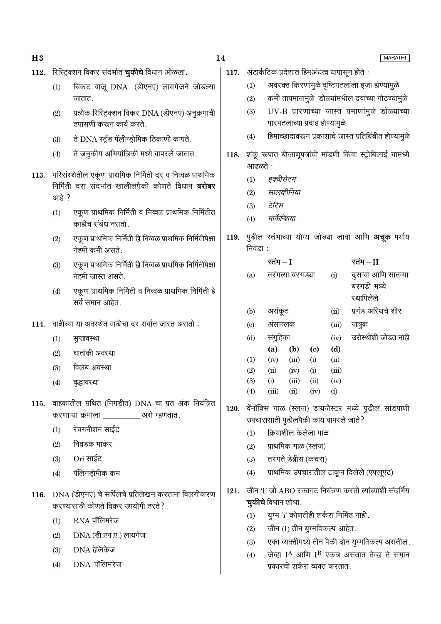| चिकट बाजू DNA (डीएनए) लायगेजने जोडल्या                                                                                                                                     |      | (1)<br>(2)                |                                                   |               |                             |                                       | अवरक्त किरणांमुळे दृष्टिपटलांला इजा होण्यामुळे<br>कमी तापमानामुळे डोळ्यांमधील द्रवांच्या गोठण्यामुळे                                                    |
|----------------------------------------------------------------------------------------------------------------------------------------------------------------------------|------|---------------------------|---------------------------------------------------|---------------|-----------------------------|---------------------------------------|---------------------------------------------------------------------------------------------------------------------------------------------------------|
| प्रत्येक रिस्ट्रिक्शन विकर DNA (डीएनए) अनुक्रमाची                                                                                                                          |      | (3)                       |                                                   |               |                             | पारपटलाच्या प्रदाह होण्यामुळे         | UV-B प्रारणांच्या जास्त प्रमाणांमुळे डोळ्याच्य                                                                                                          |
| ते DNA स्ट्रँड पॅलीन्ड्रोमिक ठिकाणी कापते.                                                                                                                                 |      | (4)                       |                                                   |               |                             |                                       | हिमाच्छादावरून प्रकाशाचे जास्त प्रतिबिंबीत होण्यामुळे                                                                                                   |
| ते जनुकीय अभियांत्रिकी मध्ये वापरले जातात.                                                                                                                                 | 118. | आढळते :                   |                                                   |               |                             |                                       | शंकू रूपात बीजाणूपत्रांची मांडणी किंवा स्ट्रोबिलाई यामध्ये                                                                                              |
| परिसंस्थेतील एकूण प्राथमिक निर्मिती दर व निव्वळ प्राथमिक<br>निर्मिती दरा संदर्भात खालीलपैकी कोणते विधान <b>बरोबर</b><br>एकूण प्राथमिक निर्मिती व निव्वळ प्राथमिक निर्मितीत |      | (1)<br>(2)<br>(3)<br>(4)  | इक्वीसेटम<br>सालव्हीनिया<br>टेरिस<br>मार्केन्शिया |               |                             |                                       |                                                                                                                                                         |
| एकूण प्राथमिक निर्मिती ही निव्वळ प्राथमिक निर्मितीपेक्षा                                                                                                                   | 119. | निवडा :                   |                                                   |               |                             |                                       | पुढील स्तंभाच्या योग्य जोड्या लावा आणि <b>अचूक</b> पर्याय                                                                                               |
| एकूण प्राथमिक निर्मिती ही निव्वळ प्राथमिक निर्मितीपेक्षा                                                                                                                   |      | (a)                       | रतंभ $-1$<br>तरंगत्या बरगड्या                     |               |                             | (i)                                   | रतंभ $-I$<br>दुसऱ्या आणि सातव्या                                                                                                                        |
| एकूण प्राथमिक निर्मिती व निव्वळ प्राथमिक निर्मिती हे                                                                                                                       |      | (b)                       | असंकूट                                            |               |                             | (ii)                                  | बरगडी मध्ये<br>स्थापिलेले<br>प्रगंड अस्थिचे शीर                                                                                                         |
| वाढीच्या या अवस्थेत वाढीचा दर सर्वात जास्त असतो :                                                                                                                          |      | $\left( \circ \right)$    | अंसफलक                                            |               |                             | (iii)                                 | जत्रुक                                                                                                                                                  |
|                                                                                                                                                                            |      | (d)                       | संगुहिका                                          |               |                             | (iv)                                  | उरोस्थीशी जोडत नाह                                                                                                                                      |
|                                                                                                                                                                            |      |                           | (a)                                               | (b)           | $\left( \mathbf{c} \right)$ | (d)                                   |                                                                                                                                                         |
|                                                                                                                                                                            |      | (1)<br>(2)                | (iv)<br>(ii)                                      | (iii)<br>(iv) | (i)<br>(i)                  | (ii)<br>(iii)                         |                                                                                                                                                         |
|                                                                                                                                                                            |      | (3)<br>(4)                | (i)<br>(iii)                                      | (iii)<br>(ii) | (ii)<br>(iv)                | (iv)<br>(i)                           |                                                                                                                                                         |
| 115. वाहकातील ग्रथित (निगडीत) DNA चा प्रत अंक नियंत्रित<br>करणाऱ्या क्रमाला ___________ असे म्हणतात.                                                                       | 120. |                           |                                                   |               |                             | उपचारासाठी पुढीलपैकी काय वापरले जाते? | वॅनॉक्सि गाळ (स्लज) डायजेस्टर मध्ये पुढील सांडपाणी                                                                                                      |
|                                                                                                                                                                            |      | (1)                       |                                                   |               | क्रियाशील केलेला गाळ        |                                       |                                                                                                                                                         |
|                                                                                                                                                                            |      | (2)                       |                                                   |               | प्राथमिक गाळ (स्लज)         |                                       |                                                                                                                                                         |
|                                                                                                                                                                            |      | (3)                       |                                                   |               | तरंगते डेब्रीस (कचरा)       |                                       |                                                                                                                                                         |
|                                                                                                                                                                            |      | (4)                       |                                                   |               |                             |                                       | प्राथमिक उपचारातील टाकून दिलेले (एफ्लूएंट)                                                                                                              |
| DNA (डीएनए) चे सर्पिलचे प्रतिलेखन करताना विलगीकरण                                                                                                                          | 121. | <b>चुकीचे</b> विधान शोधा. |                                                   |               |                             |                                       | जीन 'I' जो ABO रक्तगट नियंत्रण करतो त्यांच्याशी संदर्भिय                                                                                                |
|                                                                                                                                                                            |      | (1)                       |                                                   |               |                             |                                       | युग्म 'i' कोणतीही शर्करा निर्मित नाही.                                                                                                                  |
|                                                                                                                                                                            |      | (2)                       |                                                   |               |                             | जीन (I) तीन युग्मविकल्प आहेत.         |                                                                                                                                                         |
|                                                                                                                                                                            |      |                           |                                                   |               |                             |                                       |                                                                                                                                                         |
|                                                                                                                                                                            |      |                           |                                                   |               |                             |                                       |                                                                                                                                                         |
|                                                                                                                                                                            |      |                           | (3)<br>(4)                                        |               |                             |                                       | एका व्यक्तीमध्ये तीन पैकी दोन युग्मविकल्प असतील<br>जेव्हा I <sup>A</sup> आणि I <sup>B</sup> एकत्र असतात तेव्हा ते समान<br>प्रकारची शर्करा व्यक्त करतात. |

| (3)     | UV-B प्रारणांच्या जास्त प्रमाणांमुळे डोळ्याच्या<br>पारपटलाच्या प्रदाह होण्यामुळे |                  |      |       |                                                            |  |  |  |  |  |  |
|---------|----------------------------------------------------------------------------------|------------------|------|-------|------------------------------------------------------------|--|--|--|--|--|--|
|         |                                                                                  |                  |      |       |                                                            |  |  |  |  |  |  |
| (4)     |                                                                                  |                  |      |       | हिमाच्छादावरून प्रकाशाचे जास्त प्रतिबिंबीत होण्यामुळे      |  |  |  |  |  |  |
|         |                                                                                  |                  |      |       | शंकू रूपात बीजाणूपत्रांची मांडणी किंवा स्ट्रोबिलाई यामध्ये |  |  |  |  |  |  |
| आढळते : |                                                                                  |                  |      |       |                                                            |  |  |  |  |  |  |
| (1)     | इक्वीसेटम                                                                        |                  |      |       |                                                            |  |  |  |  |  |  |
| (2)     | सालव्हीनिया                                                                      |                  |      |       |                                                            |  |  |  |  |  |  |
| (3)     | टेरिस                                                                            |                  |      |       |                                                            |  |  |  |  |  |  |
| (4)     | मार्केन्शिया                                                                     |                  |      |       |                                                            |  |  |  |  |  |  |
|         |                                                                                  |                  |      |       | पुढील स्तंभाच्या योग्य जोड्या लावा आणि <b>अचूक</b> पर्याय  |  |  |  |  |  |  |
| निवडा : |                                                                                  |                  |      |       |                                                            |  |  |  |  |  |  |
|         |                                                                                  |                  |      |       |                                                            |  |  |  |  |  |  |
|         | रतंभ $-I$                                                                        |                  |      |       | रतंभ $-I$                                                  |  |  |  |  |  |  |
| (a)     |                                                                                  | तरंगत्या बरगड्या |      | (i)   | दुसऱ्या आणि सातव्या                                        |  |  |  |  |  |  |
|         |                                                                                  |                  |      |       | बरगडी मध्ये                                                |  |  |  |  |  |  |
|         |                                                                                  |                  |      |       | स्थापिलेले                                                 |  |  |  |  |  |  |
| (b)     | असंकूट                                                                           |                  |      | (ii)  | प्रगंड अस्थिचे शीर                                         |  |  |  |  |  |  |
| (c)     | अंसफलक                                                                           |                  |      | (iii) | जत्रुक                                                     |  |  |  |  |  |  |
| (d)     | संगुहिका                                                                         |                  |      | (iv)  | उरोस्थीशी जोडत नाही                                        |  |  |  |  |  |  |
|         | (a)                                                                              | (b)              | (c)  | (d)   |                                                            |  |  |  |  |  |  |
| (1)     | (iv)                                                                             | (iii)            | (i)  | (ii)  |                                                            |  |  |  |  |  |  |
| (2)     | (ii)                                                                             | (iv)             | (i)  | (iii) |                                                            |  |  |  |  |  |  |
| (3)     | (i)                                                                              | (iii)            | (ii) | (iv)  |                                                            |  |  |  |  |  |  |
| (4)     | (iii)                                                                            | (ii)             | (iv) | (i)   |                                                            |  |  |  |  |  |  |

- गाळ (स्लज) डायजेस्टर मध्ये पुढील सांडपाणी .<br>गठी पुढीलपैकी काय वापरले जाते?
	- .<br>क्रेयाशील केलेला गाळ
	- ाथमिक गाळ (स्लज)
	- ारंगते डेब्रीस (कचरा)
	- ाथमिक उपचारातील टाकून दिलेले (एफ्लूएंट)
- जो ABO रक्तगट नियंत्रण करतो त्यांच्याशी संदर्भिय iधान शोधा
	- ।<br>ग्म '¡' कोणतीही शर्करा निर्मित नाही .
	- नीन (I) तीन युग्मविकल्प आहेत.
	- का व्यक्तीमध्ये तीन पैकी दोन यूग्मविकल्प असतील.
	- नेव्हा I $^{\rm A}$  आणि I $^{\rm B}$  एकत्र असतात तेव्हा ते समान कारची शर्करा व्यक्त करतात.

### 112. रिस्ट्रिक्शन विकर संदर्भात चुकीचे विधान ओळखा.

- चिकट बाज  $DNA$  (डीएनए) लायगेजने जोडल्या  $\vert$  $(1)$
- $(2)$
- $(3)$
- $(4)$
- 113. परिस निर्मि आहे
	- $(1)$
	- $(2)$
	- $(3)$
	- $(4)$
- 114. वाढी
	- $(1)$
	- $(2)$
	- $(3)$
	- $(4)$
- 115. वाहव करण
	- $(1)$
	- $(2)$
	- $(3)$

- -

14

 $H3$ 

#### **MARATHI**

 $(1)$ 

117. अंटार्कटिक प्रदेशात हिमअंधत्व यापासून होते :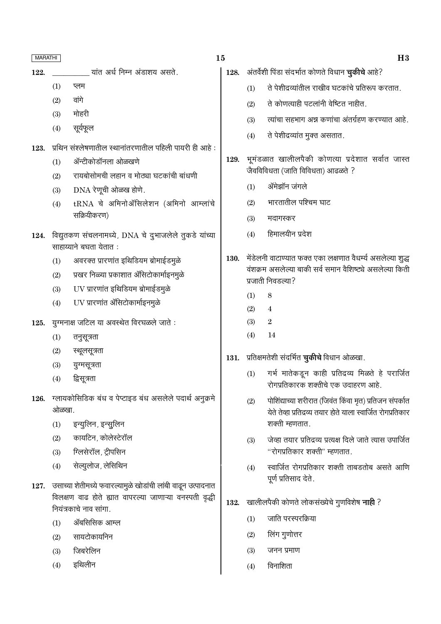- यांत अर्ध निम्न अंडाशय असते. 122.
	- $(1)$ प्लम
	- वांगे  $(2)$
	- मोहरी  $(3)$
	- सूर्यफुल  $(4)$
- प्रथिन संश्लेषणातील स्थानांतरणातील पहिली पायरी ही आहे: 123.
	- ॲन्टीकोडॉनला ओळखणे  $(1)$
	- रायबोसोमची लहान व मोठ्या घटकांची बांधणी  $(2)$
	- DNA रेणूची ओळख होणे.  $(3)$
	- tRNA चे अमिनोॲसिलेशन (अमिनो आम्लांचे  $(4)$ सक्रियीकरण)
- 124. विद्युतकण संचलनामध्ये, DNA चे दुभाजलेले तुकडे यांच्या साहाय्याने बघता येतात:
	- अवरक्त प्रारणांत इथिडियम ब्रोमाईडमुळे  $(1)$
	- प्रखर निळ्या प्रकाशात ॲसिटोकार्माइनमुळे  $(2)$
	- UV प्रारणांत इथिडियम ब्रोमाईडमूळे  $(3)$
	- UV प्रारणांत ॲसिटोकार्माइनमुळे  $(4)$
- यूग्मनाक्ष जटिल या अवस्थेत विरघळले जाते : 125.
	- $(1)$ तनुसूत्रता
	- स्थूलसूत्रता  $(2)$
	- युग्मसूत्रता  $(3)$
	- द्विसूत्रता  $(4)$
- 126. ग्लायकोसिडिक बंध व पेप्टाइड बंध असलेले पदार्थ अनुक्रमे ओळखा.
	- इन्युलिन, इन्सुलिन  $(1)$
	- कायटिन, कोलेस्टेरॉल  $(2)$
	- ग्लिसेरॉल, ट्रीपसिन  $(3)$
	- सेल्युलोज, लेसिथिन  $(4)$
- 127. उसाच्या शेतीमध्ये फवारल्यामुळे खोडांची लांबी वाढून उत्पादनात विलक्षण वाढ होते ह्यात वापरल्या जाणाऱ्या वनस्पती वृद्धी नियंत्रकाचे नाव सांगा.
	- $(1)$ ॲबसिसिक आम्ल
	- सायटोकायनिन  $(2)$
	- जिबरेलिन  $(3)$
	- इथिलीन  $(4)$

15

| 128. |          | अंतर्वेशी पिंडा संदर्भात कोणते विधान <b>चुकीचे</b> आहे?                                                                                      |
|------|----------|----------------------------------------------------------------------------------------------------------------------------------------------|
|      | (1)      | ते पेशीद्रव्यांतील राखीव घटकांचे प्रतिरूप करतात.                                                                                             |
|      | (2)      | ते कोणत्याही पटलांनी वेष्टित नाहीत.                                                                                                          |
|      | (3)      | त्यांचा सहभाग अन्न कणांचा अंतर्ग्रहण करण्यात आहे.                                                                                            |
|      | (4)      | ते पेशीद्रव्यांत मुक्त असतात.                                                                                                                |
| 129. |          | भूमंडळात खालीलपैकी कोणत्या प्रदेशात सर्वात जास्त<br>जैवविविधता (जाति विविधता) आढळते ?                                                        |
|      | (1)      | ॲमेझॉन जंगले                                                                                                                                 |
|      | (2)      | भारतातील पश्चिम घाट                                                                                                                          |
|      | (3)      | मदागस्कर                                                                                                                                     |
|      | (4)      | हिमालयीन प्रदेश                                                                                                                              |
| 130. |          | मेंडेलनी वाटाण्यात फक्त एका लक्षणात वैधर्म्य असलेल्या शुद्ध<br>वंशक्रम असलेल्या बाकी सर्व समान वैशिष्ट्ये असलेल्या किती<br>प्रजाती निवडल्या? |
|      | (1)      | 8                                                                                                                                            |
|      | (2) 4    |                                                                                                                                              |
|      | (3) 2    |                                                                                                                                              |
|      | $(4)$ 14 |                                                                                                                                              |
|      |          | 131. प्रतिक्षमतेशी संदर्भित <b>चुकीचे</b> विधान ओळखा.                                                                                        |
|      | (1)      | गर्भ मातेकडून काही प्रतिद्रव्य मिळते हे परार्जित<br>रोगप्रतिकारक शक्तीचे एक उदाहरण आहे.                                                      |
|      | (2)      | पोशिंद्याच्या शरीरात (जिवंत किंवा मृत) प्रतिजन संपर्कात<br>येते तेव्हा प्रतिद्रव्य तयार होते याला स्वार्जित रोगप्रतिकार<br>शक्ती म्हणतात.    |
|      | (3)      | जेव्हा तयार प्रतिद्रव्य प्रत्यक्ष दिले जाते त्यास उपार्जित<br>"रोगप्रतिकार शक्ती" म्हणतात.                                                   |
|      | (4)      | स्वार्जित रोगप्रतिकार शक्ती ताबडतोब असते आणि<br>पूर्ण प्रतिसाद देते.                                                                         |
| 132. |          | खालीलपैकी कोणते लोकसंख्येचे गुणविशेष <b>नाही</b> ?                                                                                           |
|      | (1)      | जाति परस्परक्रिया                                                                                                                            |

- लिंग गुणोत्तर  $(2)$
- $(3)$ जनन प्रमाण
- विनाशिता  $(4)$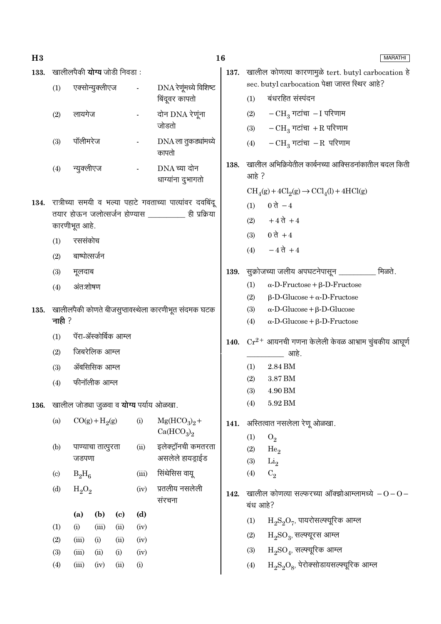$H3$ 

### **16**

**MARATHI** 

| 133. |                                                     |               |                    | खालीलपैकी <b>योग्य</b> जोडी निवडा : |                          |                                                          |      | 137. खालील कोणत्या कारणामुळे tert. butyl carbocation हे |                                                                                 |  |  |  |  |
|------|-----------------------------------------------------|---------------|--------------------|-------------------------------------|--------------------------|----------------------------------------------------------|------|---------------------------------------------------------|---------------------------------------------------------------------------------|--|--|--|--|
|      | (1)                                                 |               | एक्सोन्युक्लीएज    |                                     | $\blacksquare$           | DNA रेणूंमध्ये विशिष्ट                                   |      |                                                         | sec. butyl carbocation पेक्षा जास्त स्थिर आहे?                                  |  |  |  |  |
|      |                                                     |               |                    |                                     |                          | बिंदूवर कापतो                                            |      | (1)                                                     | बंधरहित संस्पंदन                                                                |  |  |  |  |
|      | (2)                                                 | लायगेज        |                    |                                     | $\blacksquare$           | दोन DNA रेणूंना                                          |      | (2)                                                     | $-CH_3$ गटांचा $-I$ परिणाम                                                      |  |  |  |  |
|      |                                                     |               |                    |                                     |                          | जोडतो                                                    |      | (3)                                                     | $-CH_3$ गटांचा $+R$ परिणाम                                                      |  |  |  |  |
|      | (3)                                                 | पॉलीमरेज      |                    |                                     | $\overline{\phantom{a}}$ | $DNA$ ला तुकड्यांमध्ये<br>कापतो                          |      | (4)                                                     | $-CH_3$ गटांचा $-R$ परिणाम                                                      |  |  |  |  |
|      | (4)                                                 | न्युक्लीएज    |                    |                                     | $\overline{\phantom{a}}$ | DNA च्या दोन<br>धाग्यांना दुभागतो                        | 138. | आहे?                                                    | खालील अभिक्रियेतील कार्बनच्या आक्सिडनांकातील बदल किती                           |  |  |  |  |
|      |                                                     |               |                    |                                     |                          |                                                          |      |                                                         | $\text{CH}_4(g) + 4\text{Cl}_2(g) \rightarrow \text{CCl}_4(l) + 4\text{HCl}(g)$ |  |  |  |  |
| 134. |                                                     |               |                    |                                     |                          | रात्रीच्या समयी व भल्या पहाटे गवताच्या पात्यांवर दवबिंदू |      | (1)                                                     | 0 ते $-4$                                                                       |  |  |  |  |
|      |                                                     | कारणीभूत आहे. |                    |                                     |                          | तयार होऊन जलोत्सर्जन होण्यास ___________ ही प्रक्रिया    |      | (2)                                                     | $+4$ ते $+4$                                                                    |  |  |  |  |
|      | (1)                                                 | रससंकोच       |                    |                                     |                          |                                                          |      | (3)                                                     | $0$ ते $+4$                                                                     |  |  |  |  |
|      | (2)                                                 | बाष्पोत्सर्जन |                    |                                     |                          |                                                          |      | (4)                                                     | $-4 \, \overline{\mathsf{d}} + 4$                                               |  |  |  |  |
|      | (3)                                                 | मूलदाब        |                    |                                     |                          |                                                          | 139. |                                                         | सुक्रोजच्या जलीय अपघटनेपासून _________<br>मिळते.                                |  |  |  |  |
|      | (4)                                                 | अंतःशोषण      |                    |                                     |                          |                                                          |      | (1)                                                     | $\alpha$ -D-Fructose + $\beta$ -D-Fructose                                      |  |  |  |  |
|      |                                                     |               |                    |                                     |                          |                                                          |      | (2)                                                     | $\beta$ -D-Glucose + $\alpha$ -D-Fructose                                       |  |  |  |  |
| 135. | खालीलपैकी कोणते बीजसुप्तावस्थेला कारणीभूत संदमक घटक |               |                    |                                     |                          |                                                          |      | (3)                                                     | $\alpha$ -D-Glucose + $\beta$ -D-Glucose                                        |  |  |  |  |
|      | नाही $?$                                            |               |                    |                                     |                          |                                                          |      | (4)                                                     | $\alpha$ -D-Glucose + $\beta$ -D-Fructose                                       |  |  |  |  |
|      | (1)                                                 |               |                    | पॅरा-ॲस्कोर्बिक आम्ल                |                          |                                                          | 140. | $Cr^{2+}$ आयनची गणना केलेली केवळ आभ्राम चुंबकीय आघूर्ण  |                                                                                 |  |  |  |  |
|      | (2)                                                 |               | जिबरेलिक आम्ल      |                                     |                          |                                                          |      |                                                         | आहे.                                                                            |  |  |  |  |
|      | (3)                                                 |               | ॲबसिसिक आम्ल       |                                     |                          |                                                          |      | (1)                                                     | 2.84 BM                                                                         |  |  |  |  |
|      | (4)                                                 |               | फीनॉलीक आम्ल       |                                     |                          |                                                          |      | (2)                                                     | 3.87 BM                                                                         |  |  |  |  |
|      |                                                     |               |                    |                                     |                          |                                                          |      | (3)                                                     | 4.90 BM                                                                         |  |  |  |  |
| 136. |                                                     |               |                    |                                     |                          | खालील जोड्या जुळवा व <b>योग्य</b> पर्याय ओळखा.           |      | (4)                                                     | 5.92 BM                                                                         |  |  |  |  |
|      | (a)                                                 |               | $CO(g) + H2(g)$    |                                     | (i)                      | $Mg(HCO3)2 +$<br>Ca(HCO <sub>3</sub> ) <sub>2</sub>      | 141. |                                                         | अस्तित्वात नसलेला रेणू ओळखा.                                                    |  |  |  |  |
|      |                                                     |               |                    |                                     |                          | इलेक्ट्रॉनची कमतरता                                      |      | (1)                                                     | $O_2$                                                                           |  |  |  |  |
|      | (b)                                                 | जडपणा         | पाण्याचा तात्पुरता |                                     | (ii)                     | असलेले हायड्राईड                                         |      | (2)                                                     | He <sub>2</sub>                                                                 |  |  |  |  |
|      | $\left( \mathrm{c}\right)$                          | $B_2H_6$      |                    |                                     | (iii)                    | सिंथेसिस वायू                                            |      | (3)<br>(4)                                              | $\mathrm{Li}_2$<br>$C_2$                                                        |  |  |  |  |
|      | (d)                                                 | $H_2O_2$      |                    |                                     | (iv)                     | प्रतलीय नसलेली                                           |      |                                                         |                                                                                 |  |  |  |  |
|      |                                                     |               |                    |                                     |                          | संरचना                                                   | 142. | बंध आहे?                                                | खालील कोणत्या सत्फरच्या ऑक्झोआम्लामध्ये $-0-0-$                                 |  |  |  |  |
|      |                                                     | (a)           | (b)                | $\left( \mathbf{c} \right)$         | (d)                      |                                                          |      | (1)                                                     | $H_2S_2O_7$ , पायरोसल्फ्यूरिक आम्ल                                              |  |  |  |  |
|      | (1)<br>(2)                                          | (i)<br>(iii)  | (iii)<br>(i)       | (ii)<br>(ii)                        | (iv)<br>(iv)             |                                                          |      | (2)                                                     | $H_2SO_3$ , सल्फ्यूरस आम्ल                                                      |  |  |  |  |
|      | (3)                                                 | (iii)         | (ii)               | (i)                                 | (iv)                     |                                                          |      | (3)                                                     | $H_2SO_4$ , सल्फ्यूरिक आम्ल                                                     |  |  |  |  |
|      | (4)                                                 | (iii)         | (iv)               | (ii)                                | (i)                      |                                                          |      | (4)                                                     | $H_2S_2O_8$ , पेरोक्सोडायसल्फ्यूरिक आम्ल                                        |  |  |  |  |
|      |                                                     |               |                    |                                     |                          |                                                          |      |                                                         |                                                                                 |  |  |  |  |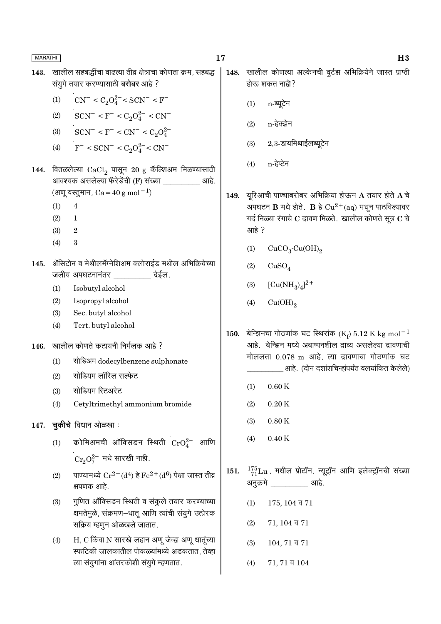- खालील सहबद्धींचा वाढत्या तीव्र क्षेत्राचा कोणता क्रम, सहबद्ध 143. संयुगे तयार करण्यासाठी **बरोबर** आहे ?
	- $CN^{-} < C_2O_4^{2-} < SCN^{-} < F^{-}$  $(1)$
	- $SCN^- < F^- < C_2O_4^{2-} < CN^ (2)$
	- $SCN^- < F^- < CN^- < C_2O_4^{2-}$  $(3)$
	- $F^-$  < SCN<sup>-</sup> < C<sub>2</sub>O<sup>2</sup><sup>-</sup> < CN<sup>-</sup>  $(4)$
- 144. वितळलेल्या  $\mathrm{CaCl}_2$  पासून 20 g कॅल्शिअम मिळण्यासाठी आवश्यक असलेल्या फॅरेडेंची (F) संख्या \_\_\_\_\_\_\_\_\_\_ आहे. (अणू वस्तुमान,  $Ca = 40 g mol^{-1}$ )
	- $(1)$  $\overline{4}$
	- $(2)$  $\mathbf{1}$
	- $(3)$  $\overline{2}$
	- $(4)$  $\mathcal{S}$
- 145. ॲसिटोन व मेथीलमॅग्नेशिअम क्लोराईड मधील अभिक्रियेच्या जलीय अपघटनानंतर \_\_\_\_\_\_\_\_\_ देईल.
	- Isobutyl alcohol  $(1)$
	- Isopropyl alcohol  $(2)$
	- $(3)$ Sec. butyl alcohol
	- Tert. butyl alcohol  $(4)$
- 146. खालील कोणते कटायनी निर्मलक आहे ?
	- $(1)$ सोडिअम dodecylbenzene sulphonate
	- सोडियम लॉरिल सल्फेट  $(2)$
	- सोडियम स्टिअरेट  $(3)$
	- Cetyltrimethyl ammonium bromide  $(4)$
- 147. चुकीचे विधान ओळखा :
	- क्रोमिअमची ऑक्सिडन स्थिती  $CrO_4^{2-}$  आणि  $(1)$  $Cr_2O_7^{2-}$  मधे सारखी नाही.
	- पाण्यामध्ये  $Cr^{2+}(d^4)$  हे  $Fe^{2+}(d^6)$  पेक्षा जास्त तीव्र  $(2)$ क्षपणक आहे.
	- गुणित ऑक्सिडन स्थिती व संकूले तयार करण्याच्या  $(3)$ क्षमतेमुळे, संक्रमण-धातू आणि त्यांची संयुगे उत्प्रेरक सक्रिय म्हणुन ओळखले जातात.
	- H, C किंवा N सारखे लहान अणू जेव्हा अणू धातूंच्या  $(4)$ स्फटिकी जालकातील पोकळ्यांमध्ये अडकतात. तेव्हा त्या संयुगांना आंतरकोशी संयुगे म्हणतात.
- 148. खालील कोणत्या अल्केनची वूर्टझ अभिक्रियेने जास्त प्राप्ती होऊ शकत नाही?
	- n-ब्यूटेन  $(1)$
	- n-हेक्झेन  $(2)$
	- 2.3-डायमिथाईलब्युटेन  $(3)$
	- n-हेप्टेन  $(4)$
- यूरिआची पाण्चाबरोबर अभिक्रिया होऊन  ${\bf A}$  तयार होते  ${\bf A}$  चे 149. अपघटन  $\bf{B}$  मधे होते.  $\bf{B}$  हे  $Cu^{2+}(aq)$  मधून पाठविल्यावर गर्द निळ्या रंगाचे C द्रावण मिळते. खालील कोणते सूत्र C चे आहे ?
	- $CuCO<sub>3</sub>·Cu(OH)<sub>2</sub>$  $(1)$
	- $(2)$  $CuSO<sub>4</sub>$
	- $[Cu(NH_3)_4]^2$ <sup>+</sup>  $(3)$
	- $(4)$  $Cu(OH)_{2}$
- 150. बेन्झिनचा गोठणांक घट स्थिरांक (Ke) 5.12 K kg mol<sup>-1</sup> आहे. बेन्झिन मध्ये अबाष्पनशील द्राव्य असलेल्या द्रावणाची मोललता 0.078 m आहे. त्या द्रावणाचा गोठणांक घट \_ आहे. (दोन दशांशचिन्हांपर्यंत वलयांकित केलेले)
	- $(1)$  $0.60K$
	- $(2)$  $0.20K$
	- $0.80K$  $(3)$
	- $(4)$  $0.40K$
- 151.  $^{175}_{71}$ Lu, मधील प्रोटॉन, न्यूट्रॉन आणि इलेक्ट्रॉनची संख्या अनुक्रमे \_\_\_\_\_\_\_\_\_\_ आहे.
	- $175, 104$  व  $71$  $(1)$
	- $71, 104$  व  $71$  $(2)$
	- $(3)$ 104, 71 व 71
	- $(4)$  $71, 71$  व  $104$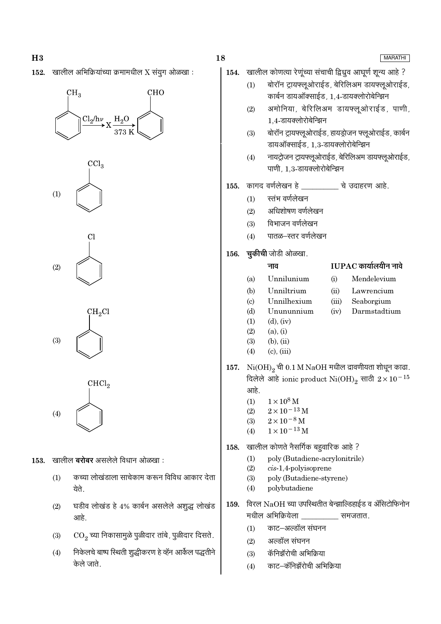खालील अभिक्रियांच्या क्रमामधील X संयुग ओळखा :  $(1)$  $CH<sub>3</sub>$ **CHO**  $(2)$  $Cl_2/h\nu$  $(3)$  $(4)$  $\mathrm{CCl}_3$ 155.  $(1)$  $(1)$  $(2)$  $(3)$  $(4)$ Cl 156. नाव  $(a)$  $(b)$ Unniltrium  $\left( \mathrm{c}\right)$  $\mathrm{CH_{2}Cl}$  $(d)$  $(1)$  $(2)$  $(3)$  $(4)$  $CHCl<sub>2</sub>$ आहे.  $(1)$  $(2)$  $(4)$  $(3)$  $(4)$ 158.  $(1)$  $(2)$ कच्या लोखंडाला साचेकाम करून विविध आकार देता  $(3)$ येते.  $(4)$ घडीव लोखंड हे 4% कार्बन असलेले अशुद्ध लोखंड आहे.  $(1)$  $CO<sub>2</sub>$ च्या निकासामुळे पुळीदार तांबे, पुळीदार दिसते.  $(2)$ निकेलचे बाष्प स्थिती शुद्धीकरण हे व्हॅन आर्केल पद्धतीने  $(3)$ केले जाते.  $(4)$ 

## 154. खालील कोणत्या रेणूंच्या संचाची द्विध्रुव आघूर्ण शून्य आहे ? बोरॉन ट्रायफ्लूओराईड, बेरिलिअम डायफ्लूओराईड, कार्बन डायऑक्साईड, 1.4-डायक्लोरोबेन्झिन

- अमोनिया, बेरिलिअम डायफ्लूओराईड, पाणी, 1.4-डायक्लोरोबेन्झिन
- बोरॉन ट्रायफ्लूओराईड, हायड्रोजन फ्लूओराईड, कार्बन डायऑक्साईड, 1.3-डायक्लोरोबेन्झिन
- नायट्रोजन ट्रायफ्लूओराईड, बेरिलिअम डायफ्लूओराईड, पाणी. 1.3-डायक्लोरोबेन्झिन
- कागद वर्णलेखन हे \_\_\_\_\_\_\_\_\_ चे उदाहरण आहे.
	- स्तंभ वर्णलेखन
	- अधिशोषण वर्णलेखन
	- विभाजन वर्णलेखन
	- पातळ—स्तर वर्णलेखन
- **चुकीची** जोडी ओळखा.

18

### $IUPAC$  कार्यालयीन नावे

- Unnilunium
- $(i)$ Mendelevium Lawrencium  $(ii)$

 $(iii)$ 

 $(iv)$ 

Seaborgium

Darmstadtium

- Unnilhexium
- Unununnium
- $(d)$ ,  $(iv)$
- $(a), (i)$
- $(b)$ ,  $(ii)$
- $(c)$ ,  $(iii)$
- 157.  $Ni(OH)_{2}$ ची 0.1 M NaOH मधील द्रावणीयता शोधून काढा. दिलेले आहे ionic product  $\mathrm{Ni(OH)}_2$  साठी  $2 \times 10^{-15}$ 
	- $1 \times 10^8$  M
	- $2 \times 10^{-13}$  M
	- $2 \times 10^{-8}$  M
	- $1 \times 10^{-13}$  M
- खालील कोणते नैसर्गिक बहुवारिक आहे ?
	- poly (Butadiene-acrylonitrile)
	- $cis-1.4$ -polvisoprene
	- poly (Butadiene-styrene)
	- polybutadiene
- $159.$  विरल NaOH च्या उपस्थितीत बेन्झाल्डिहाईड व ॲसिटोफिनोन मधील अभिक्रियेला समजतात.
	- काट–अल्डॉल संघनन
	- अल्डॉल संघनन
	- कॅनिझॅरोची अभिक्रिया
	- काट–कॅनिझॅरोची अभिक्रिया

### **MARATHI**





- खालील **बरोबर** असलेले विधान ओळखा : 153.
	- $(1)$
	- $(2)$
	- $(3)$
	- $(4)$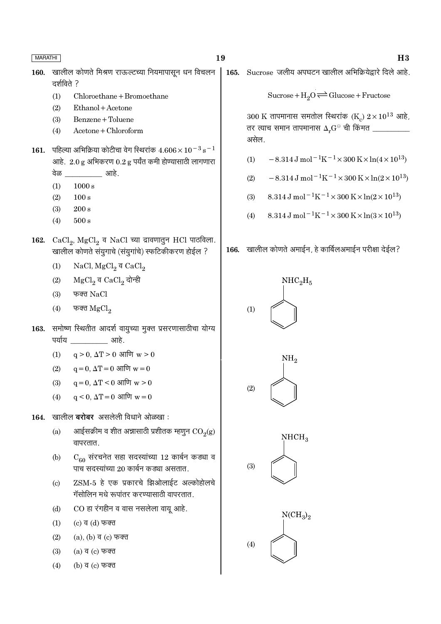खालील कोणते मिश्रण राऊल्टच्या नियमापासून धन विचलन 160. दर्शविते ?

- Chloroethane + Bromoethane  $(1)$
- Ethanol + Acetone  $(2)$
- Benzene + Toluene  $(3)$
- $Acetone + Chloroform$  $(4)$
- 161. पहिल्या अभिक्रिया कोटीचा वेग स्थिरांक  $4.606 \times 10^{-3}$  s<sup>-1</sup> आहे.  $2.0 g$  अभिकरण  $0.2 g$  पर्यंत कमी होण्यासाठी लागणारा वेळ आहे.
	- $1000 s$  $(1)$
	- $(2)$  $100 s$
	- $200 s$  $(3)$
	- $(4)$  $500 s$
- 162. CaCl, MgCl, व NaCl च्या द्रावणातून HCl पाठविला. खालील कोणते संयुगाचे (संयुगांचे) स्फटिकीकरण होईल ?
	- NaCl,  $MgCl<sub>2</sub>$ व CaCl<sub>2</sub>  $(1)$
	- $MgCl<sub>2</sub>$  व  $CaCl<sub>2</sub>$  दोन्ही  $(2)$
	- $(3)$ फक्त NaCl
	- फक्त  $MgCl<sub>2</sub>$  $(4)$
- 163. समोष्ण स्थितीत आदर्श वायुच्या मुक्त प्रसरणासाठीचा योग्य पर्याय आहे.
	- $q > 0$ ,  $\Delta T > 0$  आणि  $w > 0$  $(1)$
	- $q = 0$ ,  $\Delta T = 0$  आणि  $w = 0$  $(2)$
	- $q = 0$ ,  $\Delta T < 0$  आणि  $w > 0$  $(3)$
	- $q < 0$ ,  $\Delta T = 0$  आणि  $w = 0$  $(4)$
- 164. खालील बरोबर असलेली विधाने ओळखा:
	- आईसक्रीम व शीत अन्नासाठी प्रशीतक म्हणुन  $\mathrm{CO}_2(\mathrm{g})$  $(a)$ वापरतात.
	- $C_{60}$  संरचनेत सहा सदस्यांच्या 12 कार्बन कड्या व  $(b)$ पाच सदस्यांच्या 20 कार्बन कड्या असतात.
	- ZSM-5 हे एक प्रकारचे झिओलाईट अल्कोहोलचे  $(c)$ गॅसोलिन मधे रूपांतर करण्यासाठी वापरतात.
	- CO हा रंगहीन व वास नसलेला वाय आहे.  $(d)$
	- (c) व (d) फक्त  $(1)$
	- (a), (b) व (c) फक्त  $(2)$
	- $(a)$  व  $(c)$  फक्त  $(3)$
	- (b) व (c) फक्त  $(4)$

 $H3$ 

165. Sucrose जलीय अपघटन खालील अभिक्रियेद्वारे दिले आहे.

Sucrose +  $H_2O \rightleftharpoons Glucose + Fructose$ 

300 K तापमानास समतोल स्थिरांक (K<sub>c</sub>)  $2 \times 10^{13}$  आहे, तर त्याच समान तापमानास  $\Delta_\text{\tiny a} \mathrm{G}^\ominus$  ची किंमत असेल.

- $-8.314 \,\mathrm{J}$  mol<sup>-1</sup>K<sup>-1</sup>×300 K×ln(4×10<sup>13</sup>)  $(1)$
- $-8.314 \text{ J} \text{ mol}^{-1} \text{K}^{-1} \times 300 \text{ K} \times \ln(2 \times 10^{13})$  $(2)$
- 8.314 J mol<sup>-1</sup>K<sup>-1</sup> × 300 K × ln(2 × 10<sup>13</sup>)  $(3)$
- $8.314 J \text{ mol}^{-1} \text{K}^{-1} \times 300 \text{ K} \times \ln(3 \times 10^{13})$  $(4)$

166. खालील कोणते अमाईन, हे कार्बिलअमाईन परीक्षा देईल?

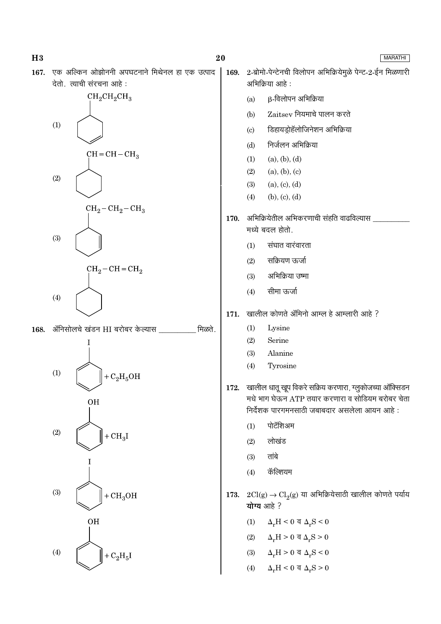$H3$ 

**MARATHI** 

देतो. त्याची संरचना आहे:  $CH_2CH_2CH_3$  $(1)$  $CH = CH - CH<sub>3</sub>$  $(2)$  $\rm CH_2\!-\!CH_2\!-\!CH_3$ 170.  $(3)$  $CH_2-CH=CH_2$  $(4)$ 171. 168. ॲनिसोलचे खंडन HI बरोबर केल्यास मिळते.  $\mathbf I$  $(1)$  $+ C<sub>2</sub>H<sub>5</sub>OH$ 172. **OH**  $(2)$  $+CH<sub>3</sub>I$  $(3)$  $+CH<sub>3</sub>OH$ 173. **OH**  $(4)$  $+ C<sub>2</sub>H<sub>5</sub>I$  $(4)$ 

| 167. | एक अल्किन ओझोननी अपघटनाने मिथेनल हा एक उत्पाद<br>देतो. त्याची संरचना आहे: | 169. | 2-ब्रोमो-पेन्टेनची विलोपन अभिक्रियेमुळे पेन्ट-2-ईन मिळणारी<br>अभिक्रिया आहे:                                |  |  |
|------|---------------------------------------------------------------------------|------|-------------------------------------------------------------------------------------------------------------|--|--|
|      | $CH_2CH_2CH_3$                                                            |      | $\beta$ -विलोपन अभिक्रिया<br>(a)                                                                            |  |  |
|      |                                                                           |      | $Z$ aitsev नियमाचे पालन करते<br>(b)                                                                         |  |  |
|      | (1)                                                                       |      | डिहायड्रोहॅलोजिनेशन अभिक्रिया<br>$\left( \circ \right)$                                                     |  |  |
|      |                                                                           |      | निर्जलन अभिक्रिया<br>(d)                                                                                    |  |  |
|      | $CH = CH - CH3$                                                           |      | (a), (b), (d)<br>(1)                                                                                        |  |  |
|      |                                                                           |      | (a), (b), (c)<br>(2)                                                                                        |  |  |
|      | (2)                                                                       |      | (3)<br>(a), (c), (d)                                                                                        |  |  |
|      |                                                                           |      | (b), (c), (d)<br>(4)                                                                                        |  |  |
|      | $CH_2-CH_2-CH_3$                                                          |      |                                                                                                             |  |  |
|      |                                                                           | 170. | अभिक्रियेतील अभिकरणाची संहति वाढविल्यास<br>मध्ये बदल होतो.                                                  |  |  |
|      | (3)                                                                       |      |                                                                                                             |  |  |
|      |                                                                           |      | संघात वारंवारता<br>(1)                                                                                      |  |  |
|      | $CH_2-CH=CH_2$                                                            |      | सक्रियण ऊर्जा<br>(2)                                                                                        |  |  |
|      |                                                                           |      | अभिक्रिया उष्मा<br>(3)                                                                                      |  |  |
|      | (4)                                                                       |      | सीमा ऊर्जा<br>(4)                                                                                           |  |  |
|      |                                                                           | 171. | खालील कोणते ॲमिनो आम्ल हे आम्लारी आहे ?                                                                     |  |  |
| 168. | ॲनिसोलचे खंडन HI बरोबर केल्यास<br>मिळते.                                  |      | Lysine<br>(1)                                                                                               |  |  |
|      |                                                                           |      | Serine<br>(2)                                                                                               |  |  |
|      |                                                                           |      | Alanine<br>(3)                                                                                              |  |  |
|      | (1)                                                                       |      | (4)<br>Tyrosine                                                                                             |  |  |
|      | $+ C2H5OH$                                                                |      |                                                                                                             |  |  |
|      |                                                                           | 172. | खालील धातू खूप विकरे सक्रिय करणारा, ग्लुकोजच्या ऑक्सिडन<br>मधे भाग घेऊन ATP तयार करणारा व सोडियम बरोबर चेता |  |  |
|      | <b>OH</b>                                                                 |      | निर्देशक पारगमनसाठी जबाबदार असलेला आयन आहे:                                                                 |  |  |
|      | $(2)$<br>$+CH3I$                                                          |      | पोटॅशिअम<br>(1)                                                                                             |  |  |
|      |                                                                           |      | लोखंड<br>(2)                                                                                                |  |  |
|      |                                                                           |      | तांबे<br>(3)                                                                                                |  |  |
|      |                                                                           |      | कॅल्शियम<br>(4)                                                                                             |  |  |
|      | (3)<br>$+CH3OH$                                                           | 173. |                                                                                                             |  |  |
|      |                                                                           |      | $2Cl(g) \rightarrow Cl_2(g)$ या अभिक्रियेसाठी खालील कोणते पर्याय                                            |  |  |
|      |                                                                           |      | योग्य आहे ?                                                                                                 |  |  |
|      | <b>OH</b>                                                                 |      | $\Delta_{\rm r} H < 0$ व $\Delta_{\rm r} S < 0$<br>(1)                                                      |  |  |
|      |                                                                           |      | $\Delta_r H > 0$ व $\Delta_r S > 0$<br>(2)                                                                  |  |  |
|      | (4)<br>$+ CoHz$                                                           |      | $\Delta_{\rm r}{\rm H} > 0$ व $\Delta_{\rm r}{\rm S} < 0$<br>(3)                                            |  |  |

 $\Delta_{\rm r}{\rm H}$  < 0 व  $\Delta_{\rm r}{\rm S}$  > 0

- 
- 

- -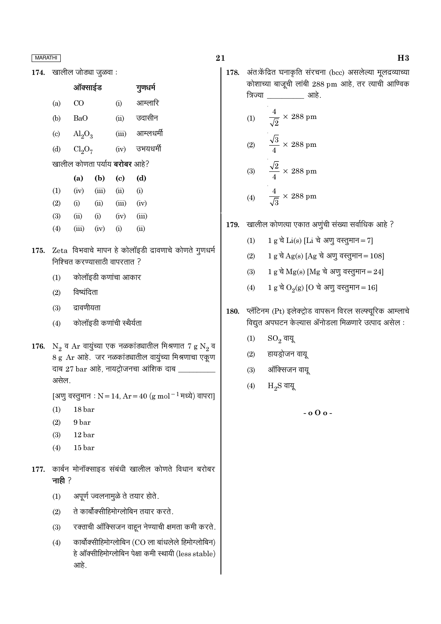174. खालील जोड्या जूळवा:

|                                      | ऑक्साईड                     | गुणधर्म |       |           |  |  |  |
|--------------------------------------|-----------------------------|---------|-------|-----------|--|--|--|
| (a)                                  | CO                          |         | (i)   | आम्लारि   |  |  |  |
| (b)                                  | BaO                         |         | (ii)  | उदासीन    |  |  |  |
| $\left( \mathrm{c}\right)$           | $\mathrm{Al}_2\mathrm{O}_3$ |         | (iii) | आम्लधर्मी |  |  |  |
| (d)                                  | $Cl_2O_7$                   |         | (iv)  | उभयधर्मी  |  |  |  |
| खालील कोणता पर्याय <b>बरोबर</b> आहे? |                             |         |       |           |  |  |  |
|                                      | (a)                         | (b)     | (c)   | (d)       |  |  |  |
| (1)                                  | (iv)                        | (iii)   | (ii)  | (i)       |  |  |  |
| (2)                                  | (i)                         | (ii)    | (iii) | (iv)      |  |  |  |
| (3)                                  | (ii)                        | (i)     | (iv)  | (iii)     |  |  |  |
| (4)                                  | (iii)                       | (iv)    | (i)   | (ii)      |  |  |  |

- 175. Zeta विभवाचे मापन हे कोलॉइडी द्रावणाचे कोणते गुणधर्म निश्चित करण्यासाठी वापरतात ?
	- कोलॉइडी कणांचा आकार  $(1)$
	- विष्यंदिता  $(2)$
	- द्रावणीयता  $(3)$
	- कोलॉइडी कणांची स्थैर्यता  $(4)$
- 176.  $N_2$  व Ar वायुंच्या एक नळकांड्यातील मिश्रणात 7 g  $N_2$  व 8 g Ar आहे. जर नळकांड्यातील वायुंच्या मिश्रणाचा एकूण दाब 27 bar आहे, नायट्रोजनचा आंशिक दाब असेल.

[अणु वस्तुमान: N = 14, Ar = 40 (g mol<sup>-1</sup> मध्ये) वापरा]

- $(1)$ 18 bar
- $(2)$ 9<sub>bar</sub>
- $(3)$  $12<sub>bar</sub>$
- $(4)$  $15<sub>bar</sub>$
- 177. कार्बन मोनॉक्साइड संबंधी खालील कोणते विधान बरोबर नाही $?$ 
	- अपूर्ण ज्वलनामुळे ते तयार होते.  $(1)$
	- ते कार्बोक्सीहिमोग्लोबिन तयार करते.  $(2)$
	- रक्ताची ऑक्सिजन वाहून नेण्याची क्षमता कमी करते.  $(3)$
	- कार्बोक्सीहिमोग्लोबिन (CO ला बांधलेले हिमोग्लोबिन)  $(4)$ हे ऑक्सीहिमोग्लोबिन पेक्षा कमी स्थायी (less stable) आहे.
- 178. अंत:केंद्रित घनाकृति संरचना (bcc) असलेल्या मूलद्रव्याच्या कोशाच्या बाजूची लांबी 288 pm आहे, तर त्याची आण्विक ्याहे. त्रिज्या
	- $\frac{4}{\sqrt{2}}\times288~\text{pm}$  $(1)$ (2)  $\frac{\sqrt{3}}{4} \times 288 \text{ pm}$ (3)  $\frac{\sqrt{2}}{4} \times 288 \text{ pm}$
	- $\frac{4}{\sqrt{3}} \times 288$  pm  $(4)$
- 179. खालील कोणत्या एकात अणुंची संख्या सर्वाधिक आहे ?
	- 1 g चे Li(s) [Li चे अणु वस्तूमान = 7]  $(1)$
	- $1 g ddot{a} A g(s) [Ag d d d \overline{a} g]$ वस्तुमान =  $108$ ]  $(2)$
	- $1 g \overrightarrow{\sigma} Mg(s)$  [Mg चे अणू वस्तूमान = 24]  $(3)$
	- 1 g चे O<sub>2</sub>(g) [O चे अणु वस्तुमान = 16]  $(4)$
- 180. प्लॅटिनम (Pt) इलेक्ट्रोड वापरून विरल सल्फ्यूरिक आम्लाचे विद्युत अपघटन केल्यास ॲनोडला मिळणारे उत्पाद असेल:
	- $(1)$  $SO_2$  वायू
	- हायड्रोजन वायू  $(2)$
	- $(3)$ ऑक्सिजन वाय
	- $H<sub>2</sub>S$  वायू  $(4)$

 $-$  0  $\Omega$  o -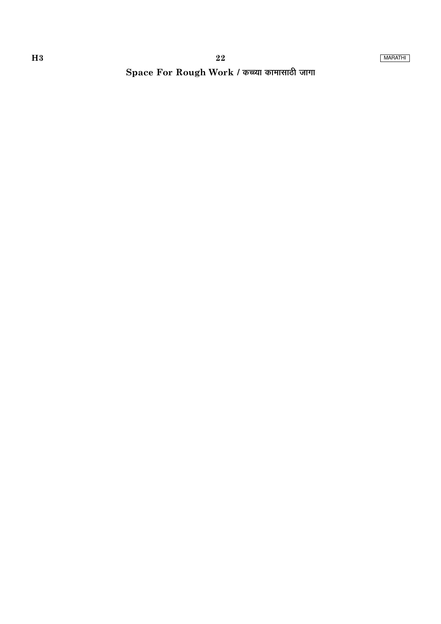Space For Rough Work / कच्च्या कामासाठी जागा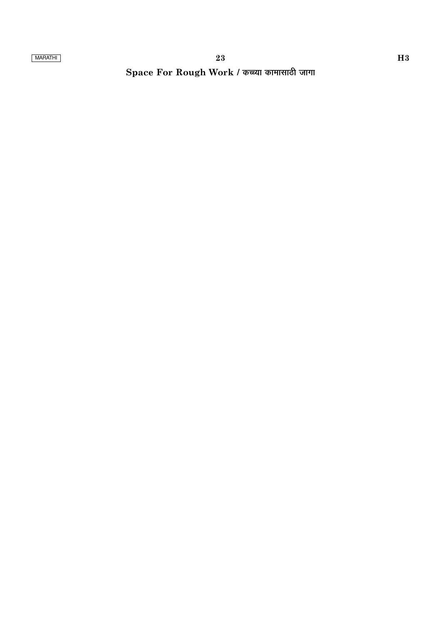# Space For Rough Work / कच्च्या कामासाठी जागा